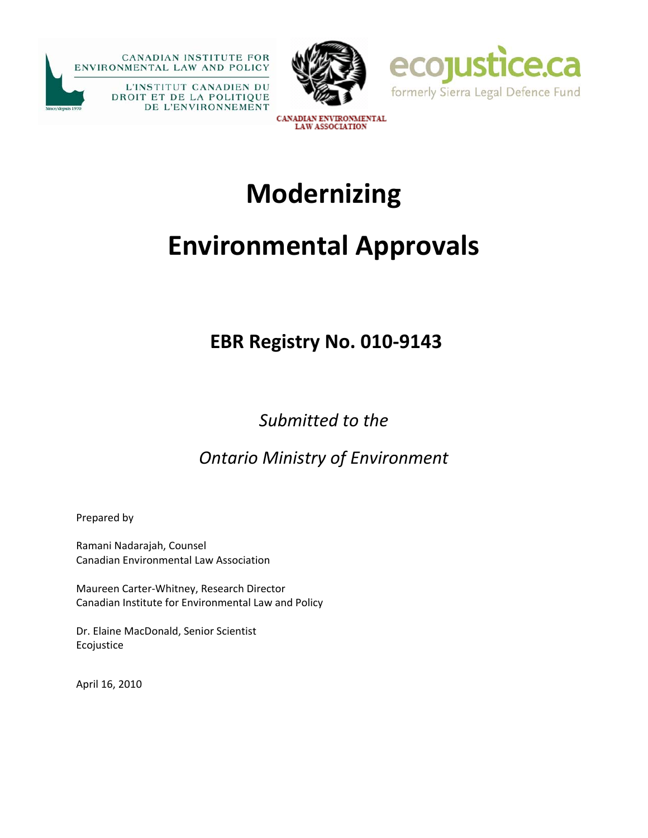





CANADIAN ENVIRONMENTAL **LAW ASSOCIATION** 

# **Modernizing**

# **Environmental Approvals**

# **EBR Registry No. 010‐9143**

*Submitted to the* 

*Ontario Ministry of Environment*

Prepared by

Ramani Nadarajah, Counsel Canadian Environmental Law Association

Maureen Carter‐Whitney, Research Director Canadian Institute for Environmental Law and Policy

Dr. Elaine MacDonald, Senior Scientist Ecojustice

April 16, 2010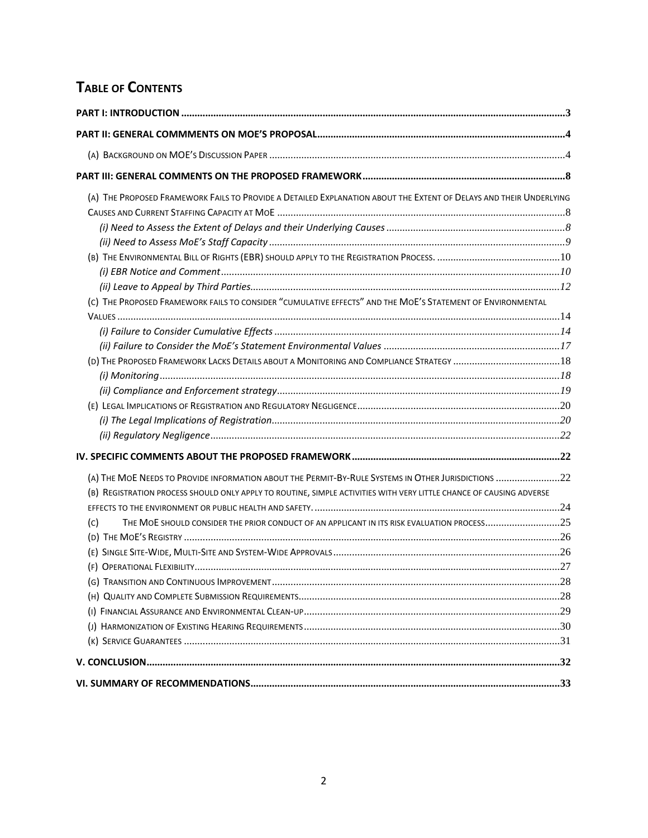# **TABLE OF CONTENTS**

| (A) THE PROPOSED FRAMEWORK FAILS TO PROVIDE A DETAILED EXPLANATION ABOUT THE EXTENT OF DELAYS AND THEIR UNDERLYING  |  |
|---------------------------------------------------------------------------------------------------------------------|--|
|                                                                                                                     |  |
|                                                                                                                     |  |
|                                                                                                                     |  |
|                                                                                                                     |  |
|                                                                                                                     |  |
|                                                                                                                     |  |
| (c) THE PROPOSED FRAMEWORK FAILS TO CONSIDER "CUMULATIVE EFFECTS" AND THE MOE'S STATEMENT OF ENVIRONMENTAL          |  |
|                                                                                                                     |  |
|                                                                                                                     |  |
|                                                                                                                     |  |
| (D) THE PROPOSED FRAMEWORK LACKS DETAILS ABOUT A MONITORING AND COMPLIANCE STRATEGY  18                             |  |
|                                                                                                                     |  |
|                                                                                                                     |  |
|                                                                                                                     |  |
|                                                                                                                     |  |
|                                                                                                                     |  |
|                                                                                                                     |  |
| (A) THE MOE NEEDS TO PROVIDE INFORMATION ABOUT THE PERMIT-BY-RULE SYSTEMS IN OTHER JURISDICTIONS 22                 |  |
| (B) REGISTRATION PROCESS SHOULD ONLY APPLY TO ROUTINE, SIMPLE ACTIVITIES WITH VERY LITTLE CHANCE OF CAUSING ADVERSE |  |
|                                                                                                                     |  |
| (c)                                                                                                                 |  |
|                                                                                                                     |  |
|                                                                                                                     |  |
|                                                                                                                     |  |
|                                                                                                                     |  |
|                                                                                                                     |  |
|                                                                                                                     |  |
|                                                                                                                     |  |
|                                                                                                                     |  |
|                                                                                                                     |  |
|                                                                                                                     |  |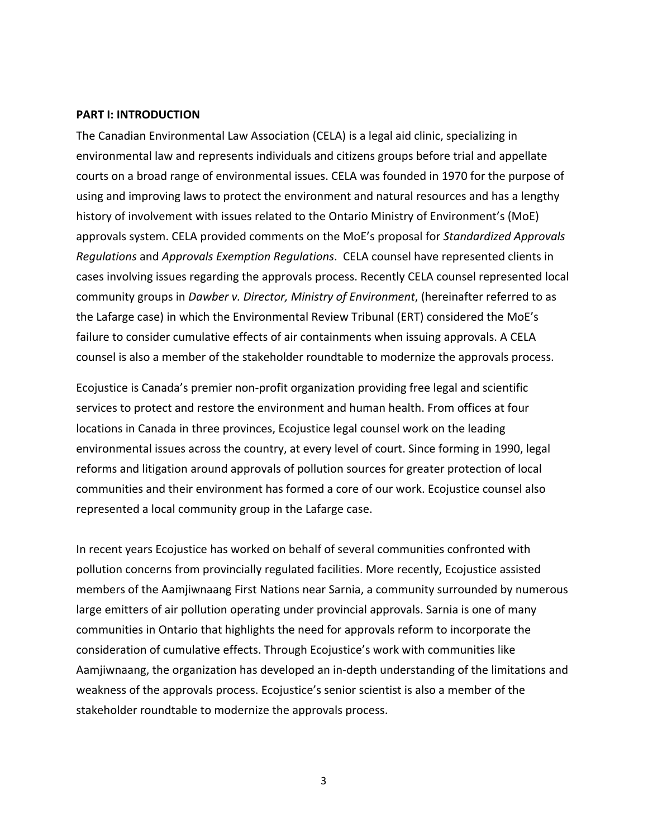#### <span id="page-2-0"></span>**PART I: INTRODUCTION**

The Canadian Environmental Law Association (CELA) is a legal aid clinic, specializing in environmental law and represents individuals and citizens groups before trial and appellate courts on a broad range of environmental issues. CELA was founded in 1970 for the purpose of using and improving laws to protect the environment and natural resources and has a lengthy history of involvement with issues related to the Ontario Ministry of Environment's (MoE) approvals system. CELA provided comments on the MoE's proposal for *Standardized Approvals Regulations* and *Approvals Exemption Regulations*. CELA counsel have represented clients in cases involving issues regarding the approvals process. Recently CELA counsel represented local community groups in *Dawber v. Director, Ministry of Environment*, (hereinafter referred to as the Lafarge case) in which the Environmental Review Tribunal (ERT) considered the MoE's failure to consider cumulative effects of air containments when issuing approvals. A CELA counsel is also a member of the stakeholder roundtable to modernize the approvals process.

Ecojustice is Canada's premier non‐profit organization providing free legal and scientific services to protect and restore the environment and human health. From offices at four locations in Canada in three provinces, Ecojustice legal counsel work on the leading environmental issues across the country, at every level of court. Since forming in 1990, legal reforms and litigation around approvals of pollution sources for greater protection of local communities and their environment has formed a core of our work. Ecojustice counsel also represented a local community group in the Lafarge case.

In recent years Ecojustice has worked on behalf of several communities confronted with pollution concerns from provincially regulated facilities. More recently, Ecojustice assisted members of the Aamjiwnaang First Nations near Sarnia, a community surrounded by numerous large emitters of air pollution operating under provincial approvals. Sarnia is one of many communities in Ontario that highlights the need for approvals reform to incorporate the consideration of cumulative effects. Through Ecojustice's work with communities like Aamjiwnaang, the organization has developed an in‐depth understanding of the limitations and weakness of the approvals process. Ecojustice's senior scientist is also a member of the stakeholder roundtable to modernize the approvals process.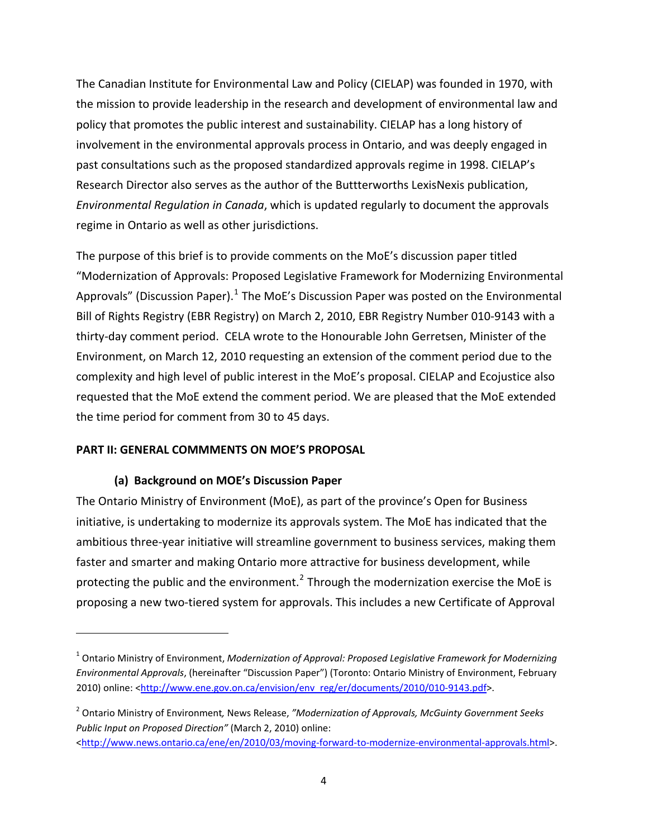<span id="page-3-0"></span>The Canadian Institute for Environmental Law and Policy (CIELAP) was founded in 1970, with the mission to provide leadership in the research and development of environmental law and policy that promotes the public interest and sustainability. CIELAP has a long history of involvement in the environmental approvals process in Ontario, and was deeply engaged in past consultations such as the proposed standardized approvals regime in 1998. CIELAP's Research Director also serves as the author of the Buttterworths LexisNexis publication, *Environmental Regulation in Canada*, which is updated regularly to document the approvals regime in Ontario as well as other jurisdictions.

The purpose of this brief is to provide comments on the MoE's discussion paper titled "Modernization of Approvals: Proposed Legislative Framework for Modernizing Environmental Approvals" (Discussion Paper).<sup>[1](#page-3-1)</sup> The MoE's Discussion Paper was posted on the Environmental Bill of Rights Registry (EBR Registry) on March 2, 2010, EBR Registry Number 010‐9143 with a thirty‐day comment period. CELA wrote to the Honourable John Gerretsen, Minister of the Environment, on March 12, 2010 requesting an extension of the comment period due to the complexity and high level of public interest in the MoE's proposal. CIELAP and Ecojustice also requested that the MoE extend the comment period. We are pleased that the MoE extended the time period for comment from 30 to 45 days.

#### **PART II: GENERAL COMMMENTS ON MOE'S PROPOSAL**

#### **(a) Background on MOE's Discussion Paper**

The Ontario Ministry of Environment (MoE), as part of the province's Open for Business initiative, is undertaking to modernize its approvals system. The MoE has indicated that the ambitious three‐year initiative will streamline government to business services, making them faster and smarter and making Ontario more attractive for business development, while protecting the public and the environment.<sup>[2](#page-3-2)</sup> Through the modernization exercise the MoE is proposing a new two‐tiered system for approvals. This includes a new Certificate of Approval

<span id="page-3-1"></span><sup>1</sup> Ontario Ministry of Environment, *Modernization of Approval: Proposed Legislative Framework for Modernizing Environmental Approvals*, (hereinafter "Discussion Paper") (Toronto: Ontario Ministry of Environment, February 2010) online: <[http://www.ene.gov.on.ca/envision/env\\_reg/er/documents/2010/010](http://www.ene.gov.on.ca/envision/env_reg/er/documents/2010/010-9143.pdf)-9143.pdf>.

<span id="page-3-2"></span><sup>2</sup> Ontario Ministry of Environment*,* News Release, *"Modernization of Approvals, McGuinty Government Seeks Public Input on Proposed Direction"* (March 2, 2010) online: [<http://www.news.ontario.ca/ene/en/2010/03/moving](http://www.news.ontario.ca/ene/en/2010/03/moving-forward-to-modernize-environmental-approvals.html)-forward-to-modernize-environmental-approvals.html>.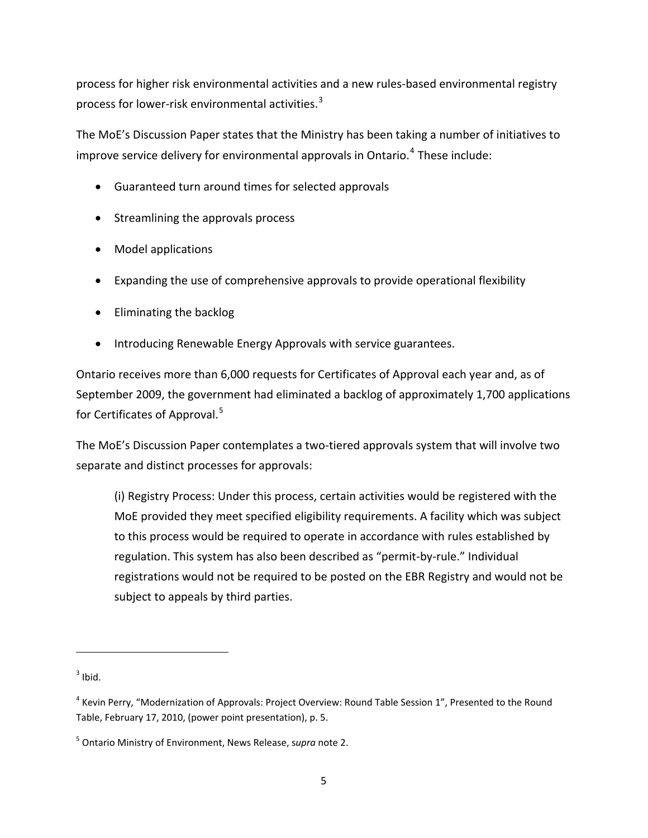process for higher risk environmental activities and a new rules‐based environmental registry process for lower-risk environmental activities.<sup>[3](#page-4-0)</sup>

The MoE's Discussion Paper states that the Ministry has been taking a number of initiatives to improve service delivery for environmental approvals in Ontario.<sup>[4](#page-4-1)</sup> These include:

- Guaranteed turn around times for selected approvals
- Streamlining the approvals process
- Model applications
- Expanding the use of comprehensive approvals to provide operational flexibility
- Eliminating the backlog
- Introducing Renewable Energy Approvals with service guarantees.

Ontario receives more than 6,000 requests for Certificates of Approval each year and, as of September 2009, the government had eliminated a backlog of approximately 1,700 applications for Certificates of Approval.<sup>[5](#page-4-2)</sup>

The MoE's Discussion Paper contemplates a two-tiered approvals system that will involve two separate and distinct processes for approvals:

(i) Registry Process: Under this process, certain activities would be registered with the MoE provided they meet specified eligibility requirements. A facility which was subject to this process would be required to operate in accordance with rules established by regulation. This system has also been described as "permit‐by‐rule." Individual registrations would not be required to be posted on the EBR Registry and would not be subject to appeals by third parties.

<span id="page-4-0"></span> $3$  Ibid.

<span id="page-4-1"></span><sup>&</sup>lt;sup>4</sup> Kevin Perry, "Modernization of Approvals: Project Overview: Round Table Session 1", Presented to the Round Table, February 17, 2010, (power point presentation), p. 5.

<span id="page-4-2"></span><sup>5</sup> Ontario Ministry of Environment, News Release, s*upra* note 2.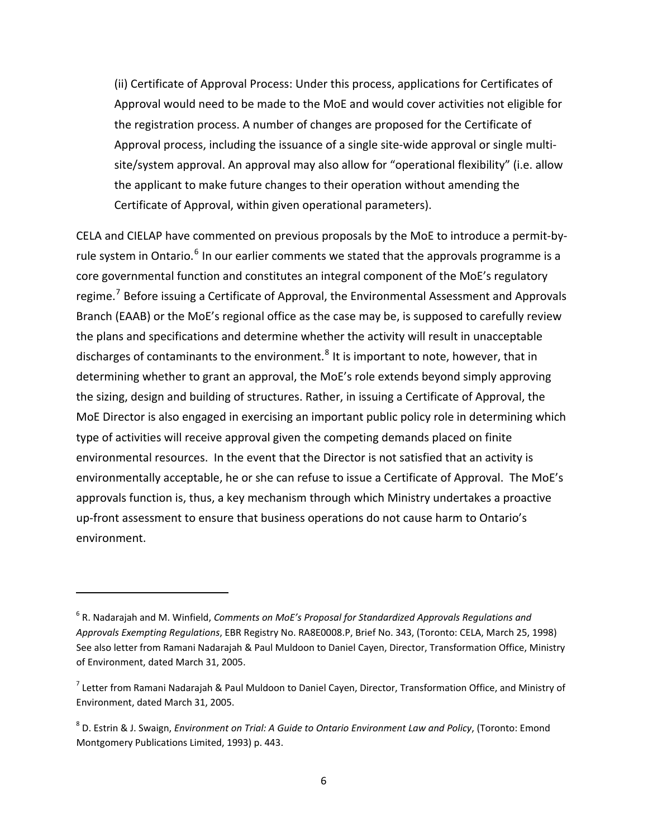(ii) Certificate of Approval Process: Under this process, applications for Certificates of Approval would need to be made to the MoE and would cover activities not eligible for the registration process. A number of changes are proposed for the Certificate of Approval process, including the issuance of a single site-wide approval or single multisite/system approval. An approval may also allow for "operational flexibility" (i.e. allow the applicant to make future changes to their operation without amending the Certificate of Approval, within given operational parameters).

CELA and CIELAP have commented on previous proposals by the MoE to introduce a permit‐by‐ rule system in Ontario.<sup>[6](#page-5-0)</sup> In our earlier comments we stated that the approvals programme is a core governmental function and constitutes an integral component of the MoE's regulatory regime.<sup>[7](#page-5-1)</sup> Before issuing a Certificate of Approval, the Environmental Assessment and Approvals Branch (EAAB) or the MoE's regional office as the case may be, is supposed to carefully review the plans and specifications and determine whether the activity will result in unacceptable discharges of contaminants to the environment.<sup>[8](#page-5-2)</sup> It is important to note, however, that in determining whether to grant an approval, the MoE's role extends beyond simply approving the sizing, design and building of structures. Rather, in issuing a Certificate of Approval, the MoE Director is also engaged in exercising an important public policy role in determining which type of activities will receive approval given the competing demands placed on finite environmental resources. In the event that the Director is not satisfied that an activity is environmentally acceptable, he or she can refuse to issue a Certificate of Approval. The MoE's approvals function is, thus, a key mechanism through which Ministry undertakes a proactive up‐front assessment to ensure that business operations do not cause harm to Ontario's environment.

<span id="page-5-0"></span><sup>6</sup> R. Nadarajah and M. Winfield, *Comments on MoE's Proposal for Standardized Approvals Regulations and Approvals Exempting Regulations*, EBR Registry No. RA8E0008.P, Brief No. 343, (Toronto: CELA, March 25, 1998) See also letter from Ramani Nadarajah & Paul Muldoon to Daniel Cayen, Director, Transformation Office, Ministry of Environment, dated March 31, 2005.

<span id="page-5-1"></span> $^7$  Letter from Ramani Nadarajah & Paul Muldoon to Daniel Cayen, Director, Transformation Office, and Ministry of Environment, dated March 31, 2005.

<span id="page-5-2"></span><sup>8</sup> D. Estrin & J. Swaign, *Environment on Trial: A Guide to Ontario Environment Law and Policy*, (Toronto: Emond Montgomery Publications Limited, 1993) p. 443.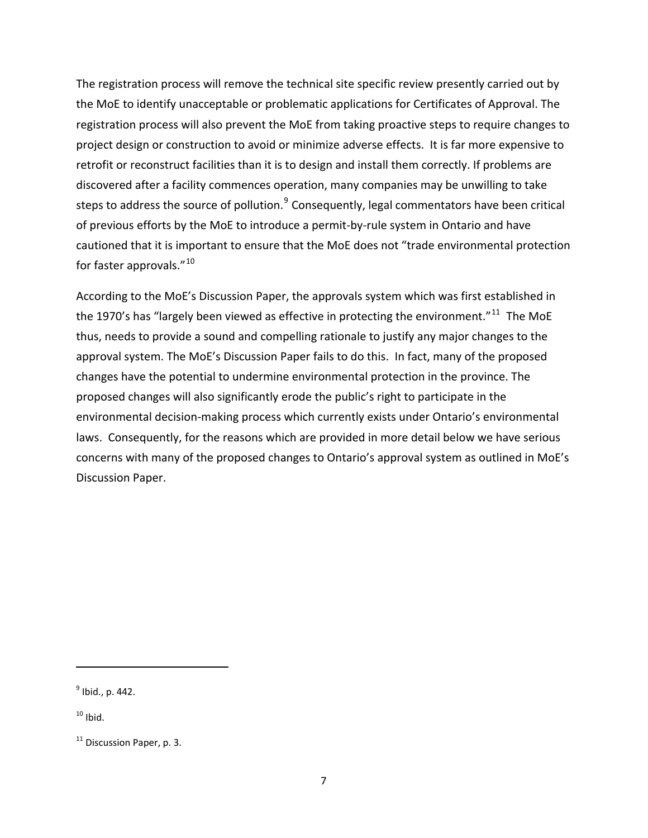The registration process will remove the technical site specific review presently carried out by the MoE to identify unacceptable or problematic applications for Certificates of Approval. The registration process will also prevent the MoE from taking proactive steps to require changes to project design or construction to avoid or minimize adverse effects. It is far more expensive to retrofit or reconstruct facilities than it is to design and install them correctly. If problems are discovered after a facility commences operation, many companies may be unwilling to take steps to address the source of pollution.<sup>[9](#page-6-0)</sup> Consequently, legal commentators have been critical of previous efforts by the MoE to introduce a permit‐by‐rule system in Ontario and have cautioned that it is important to ensure that the MoE does not "trade environmental protection for faster approvals."<sup>[10](#page-6-1)</sup>

According to the MoE's Discussion Paper, the approvals system which was first established in the 1970's has "largely been viewed as effective in protecting the environment."<sup>[11](#page-6-2)</sup> The MoE thus, needs to provide a sound and compelling rationale to justify any major changes to the approval system. The MoE's Discussion Paper fails to do this. In fact, many of the proposed changes have the potential to undermine environmental protection in the province. The proposed changes will also significantly erode the public's right to participate in the environmental decision-making process which currently exists under Ontario's environmental laws. Consequently, for the reasons which are provided in more detail below we have serious concerns with many of the proposed changes to Ontario's approval system as outlined in MoE's Discussion Paper.

<span id="page-6-0"></span> $<sup>9</sup>$  Ibid., p. 442.</sup>

<span id="page-6-1"></span> $10$  Ibid.

<span id="page-6-2"></span> $11$  Discussion Paper, p. 3.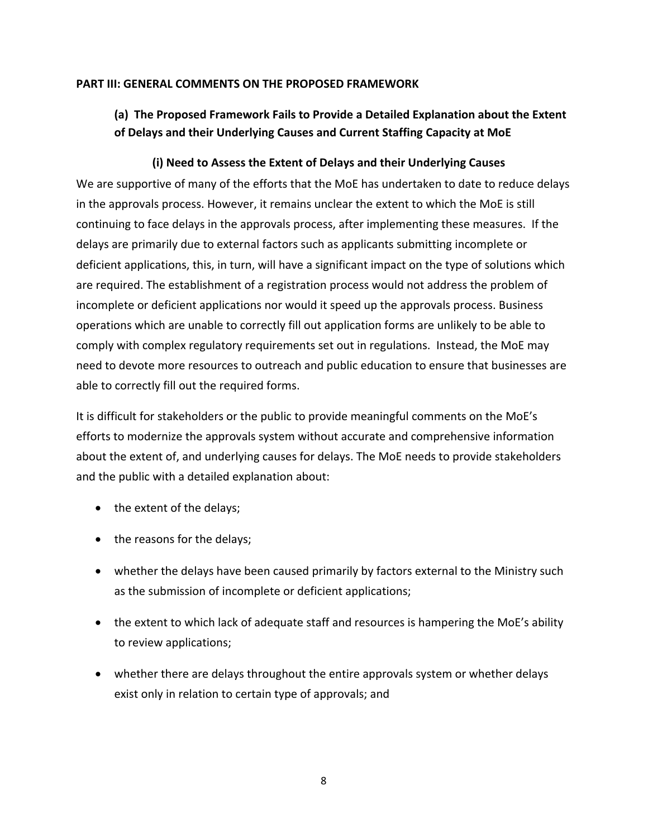#### <span id="page-7-0"></span>**PART III: GENERAL COMMENTS ON THE PROPOSED FRAMEWORK**

# **(a) The Proposed Framework Fails to Provide a Detailed Explanation about the Extent of Delays and their Underlying Causes and Current Staffing Capacity at MoE**

#### **(i) Need to Assess the Extent of Delays and their Underlying Causes**

We are supportive of many of the efforts that the MoE has undertaken to date to reduce delays in the approvals process. However, it remains unclear the extent to which the MoE is still continuing to face delays in the approvals process, after implementing these measures. If the delays are primarily due to external factors such as applicants submitting incomplete or deficient applications, this, in turn, will have a significant impact on the type of solutions which are required. The establishment of a registration process would not address the problem of incomplete or deficient applications nor would it speed up the approvals process. Business operations which are unable to correctly fill out application forms are unlikely to be able to comply with complex regulatory requirements set out in regulations. Instead, the MoE may need to devote more resources to outreach and public education to ensure that businesses are able to correctly fill out the required forms.

It is difficult for stakeholders or the public to provide meaningful comments on the MoE's efforts to modernize the approvals system without accurate and comprehensive information about the extent of, and underlying causes for delays. The MoE needs to provide stakeholders and the public with a detailed explanation about:

- the extent of the delays;
- the reasons for the delays;
- whether the delays have been caused primarily by factors external to the Ministry such as the submission of incomplete or deficient applications;
- the extent to which lack of adequate staff and resources is hampering the MoE's ability to review applications;
- whether there are delays throughout the entire approvals system or whether delays exist only in relation to certain type of approvals; and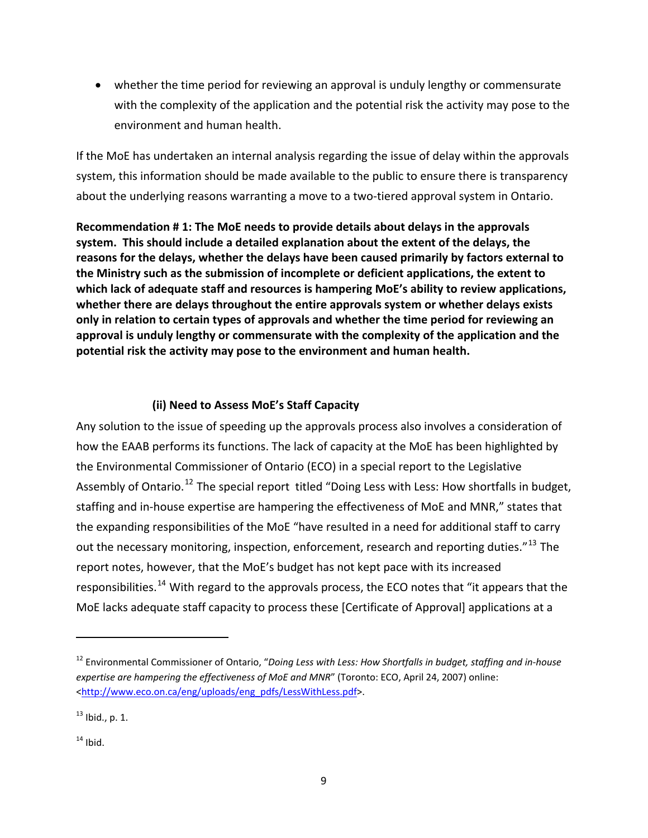<span id="page-8-0"></span>• whether the time period for reviewing an approval is unduly lengthy or commensurate with the complexity of the application and the potential risk the activity may pose to the environment and human health.

If the MoE has undertaken an internal analysis regarding the issue of delay within the approvals system, this information should be made available to the public to ensure there is transparency about the underlying reasons warranting a move to a two-tiered approval system in Ontario.

**Recommendation # 1: The MoE needs to provide details about delays in the approvals system. This should include a detailed explanation about the extent of the delays, the reasons for the delays, whether the delays have been caused primarily by factors external to the Ministry such as the submission of incomplete or deficient applications, the extent to which lack of adequate staff and resources is hampering MoE's ability to review applications, whether there are delays throughout the entire approvals system or whether delays exists only in relation to certain types of approvals and whether the time period for reviewing an approval is unduly lengthy or commensurate with the complexity of the application and the potential risk the activity may pose to the environment and human health.**

# **(ii) Need to Assess MoE's Staff Capacity**

Any solution to the issue of speeding up the approvals process also involves a consideration of how the EAAB performs its functions. The lack of capacity at the MoE has been highlighted by the Environmental Commissioner of Ontario (ECO) in a special report to the Legislative Assembly of Ontario.<sup>[12](#page-8-1)</sup> The special report titled "Doing Less with Less: How shortfalls in budget, staffing and in‐house expertise are hampering the effectiveness of MoE and MNR," states that the expanding responsibilities of the MoE "have resulted in a need for additional staff to carry out the necessary monitoring, inspection, enforcement, research and reporting duties."<sup>[13](#page-8-2)</sup> The report notes, however, that the MoE's budget has not kept pace with its increased responsibilities.<sup>[14](#page-8-3)</sup> With regard to the approvals process, the ECO notes that "it appears that the MoE lacks adequate staff capacity to process these [Certificate of Approval] applications at a

<span id="page-8-1"></span><sup>12</sup> Environmental Commissioner of Ontario, "*Doing Less with Less: How Shortfalls in budget, staffing and in‐house expertise are hampering the effectiveness of MoE and MNR*" (Toronto: ECO, April 24, 2007) online: [<http://www.eco.on.ca/eng/uploads/eng\\_pdfs/LessWithLess.pdf](http://www.eco.on.ca/eng/uploads/eng_pdfs/LessWithLess.pdf)>.

<span id="page-8-2"></span> $^{13}$  Ibid., p. 1.

<span id="page-8-3"></span> $14$  Ibid.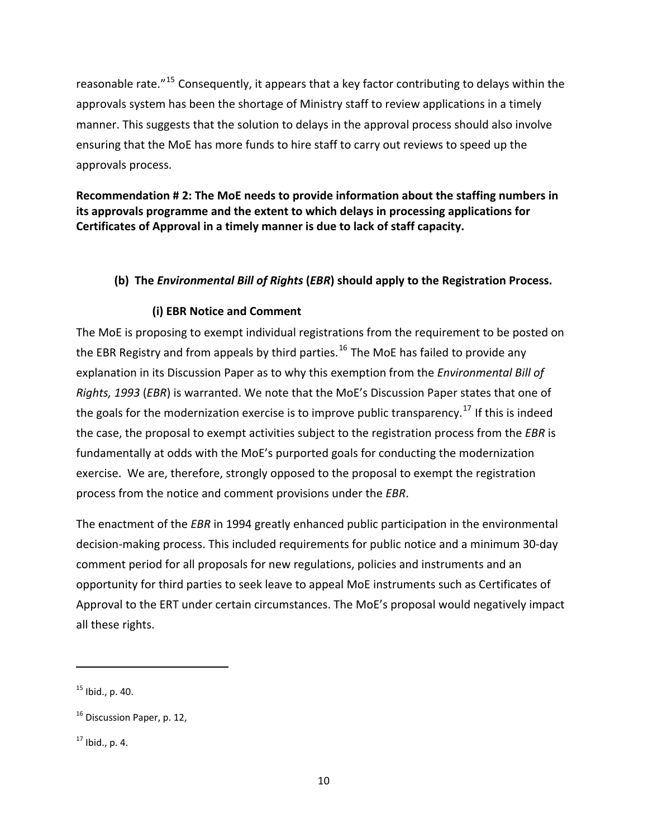<span id="page-9-0"></span>reasonable rate."[15](#page-9-1) Consequently, it appears that a key factor contributing to delays within the approvals system has been the shortage of Ministry staff to review applications in a timely manner. This suggests that the solution to delays in the approval process should also involve ensuring that the MoE has more funds to hire staff to carry out reviews to speed up the approvals process.

**Recommendation # 2: The MoE needs to provide information about the staffing numbers in its approvals programme and the extent to which delays in processing applications for Certificates of Approval in a timely manner is due to lack of staff capacity.** 

#### **(b) The** *Environmental Bill of Rights* **(***EBR***) should apply to the Registration Process.**

#### **(i) EBR Notice and Comment**

The MoE is proposing to exempt individual registrations from the requirement to be posted on the EBR Registry and from appeals by third parties.<sup>[16](#page-9-2)</sup> The MoE has failed to provide any explanation in its Discussion Paper as to why this exemption from the *Environmental Bill of Rights, 1993* (*EBR*) is warranted. We note that the MoE's Discussion Paper states that one of the goals for the modernization exercise is to improve public transparency.<sup>[17](#page-9-3)</sup> If this is indeed the case, the proposal to exempt activities subject to the registration process from the *EBR* is fundamentally at odds with the MoE's purported goals for conducting the modernization exercise. We are, therefore, strongly opposed to the proposal to exempt the registration process from the notice and comment provisions under the *EBR*.

The enactment of the *EBR* in 1994 greatly enhanced public participation in the environmental decision‐making process. This included requirements for public notice and a minimum 30‐day comment period for all proposals for new regulations, policies and instruments and an opportunity for third parties to seek leave to appeal MoE instruments such as Certificates of Approval to the ERT under certain circumstances. The MoE's proposal would negatively impact all these rights.

<span id="page-9-1"></span> $15$  Ibid., p. 40.

<span id="page-9-2"></span><sup>&</sup>lt;sup>16</sup> Discussion Paper, p. 12,

<span id="page-9-3"></span> $17$  Ibid., p. 4.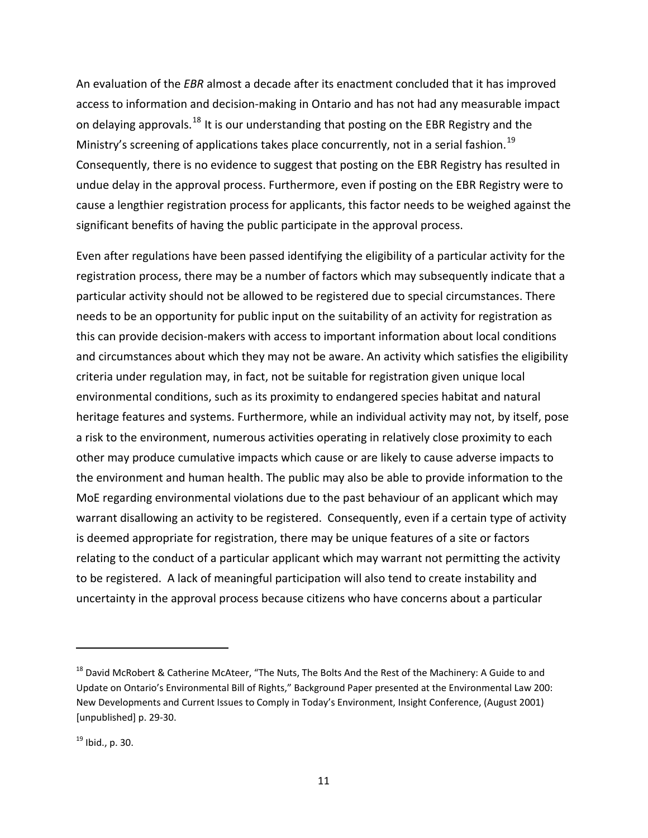An evaluation of the *EBR* almost a decade after its enactment concluded that it has improved access to information and decision‐making in Ontario and has not had any measurable impact on delaying approvals.<sup>[18](#page-10-0)</sup> It is our understanding that posting on the EBR Registry and the Ministry's screening of applications takes place concurrently, not in a serial fashion.<sup>[19](#page-10-1)</sup> Consequently, there is no evidence to suggest that posting on the EBR Registry has resulted in undue delay in the approval process. Furthermore, even if posting on the EBR Registry were to cause a lengthier registration process for applicants, this factor needs to be weighed against the significant benefits of having the public participate in the approval process.

Even after regulations have been passed identifying the eligibility of a particular activity for the registration process, there may be a number of factors which may subsequently indicate that a particular activity should not be allowed to be registered due to special circumstances. There needs to be an opportunity for public input on the suitability of an activity for registration as this can provide decision‐makers with access to important information about local conditions and circumstances about which they may not be aware. An activity which satisfies the eligibility criteria under regulation may, in fact, not be suitable for registration given unique local environmental conditions, such as its proximity to endangered species habitat and natural heritage features and systems. Furthermore, while an individual activity may not, by itself, pose a risk to the environment, numerous activities operating in relatively close proximity to each other may produce cumulative impacts which cause or are likely to cause adverse impacts to the environment and human health. The public may also be able to provide information to the MoE regarding environmental violations due to the past behaviour of an applicant which may warrant disallowing an activity to be registered. Consequently, even if a certain type of activity is deemed appropriate for registration, there may be unique features of a site or factors relating to the conduct of a particular applicant which may warrant not permitting the activity to be registered. A lack of meaningful participation will also tend to create instability and uncertainty in the approval process because citizens who have concerns about a particular

<span id="page-10-0"></span><sup>&</sup>lt;sup>18</sup> David McRobert & Catherine McAteer, "The Nuts, The Bolts And the Rest of the Machinery: A Guide to and Update on Ontario's Environmental Bill of Rights," Background Paper presented at the Environmental Law 200: New Developments and Current Issues to Comply in Today's Environment, Insight Conference, (August 2001) [unpublished] p. 29‐30.

<span id="page-10-1"></span> $19$  Ibid., p. 30.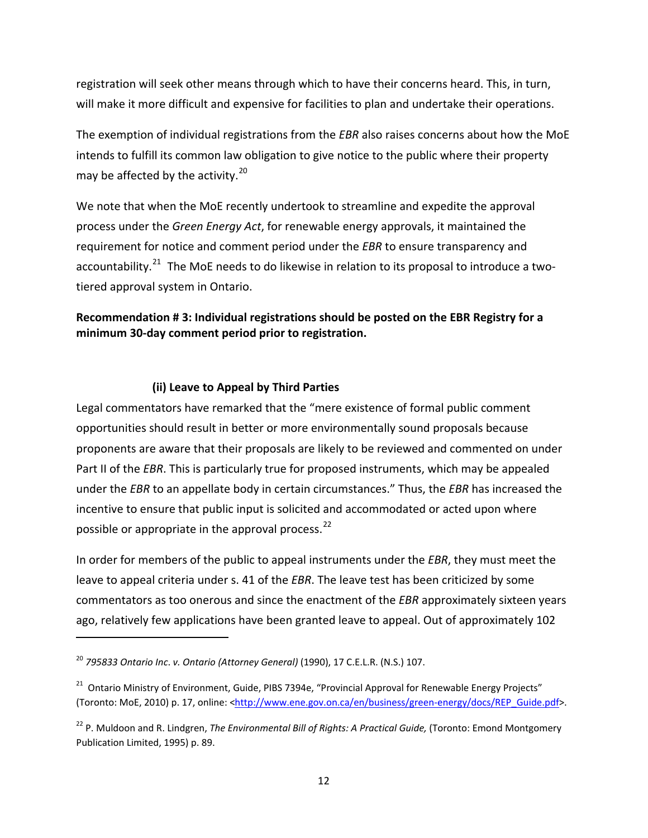<span id="page-11-0"></span>registration will seek other means through which to have their concerns heard. This, in turn, will make it more difficult and expensive for facilities to plan and undertake their operations.

The exemption of individual registrations from the *EBR* also raises concerns about how the MoE intends to fulfill its common law obligation to give notice to the public where their property may be affected by the activity. $^{20}$  $^{20}$  $^{20}$ 

We note that when the MoE recently undertook to streamline and expedite the approval process under the *Green Energy Act*, for renewable energy approvals, it maintained the requirement for notice and comment period under the *EBR* to ensure transparency and accountability.<sup>[21](#page-11-2)</sup> The MoE needs to do likewise in relation to its proposal to introduce a twotiered approval system in Ontario.

#### **Recommendation # 3: Individual registrations should be posted on the EBR Registry for a minimum 30‐day comment period prior to registration.**

#### **(ii) Leave to Appeal by Third Parties**

Legal commentators have remarked that the "mere existence of formal public comment opportunities should result in better or more environmentally sound proposals because proponents are aware that their proposals are likely to be reviewed and commented on under Part II of the *EBR*. This is particularly true for proposed instruments, which may be appealed under the *EBR* to an appellate body in certain circumstances." Thus, the *EBR* has increased the incentive to ensure that public input is solicited and accommodated or acted upon where possible or appropriate in the approval process.<sup>[22](#page-11-3)</sup>

In order for members of the public to appeal instruments under the *EBR*, they must meet the leave to appeal criteria under s. 41 of the *EBR*. The leave test has been criticized by some commentators as too onerous and since the enactment of the *EBR* approximately sixteen years ago, relatively few applications have been granted leave to appeal. Out of approximately 102

<span id="page-11-1"></span><sup>20</sup> *795833 Ontario Inc*. *v. Ontario (Attorney General)* (1990), 17 C.E.L.R. (N.S.) 107.

<span id="page-11-2"></span><sup>&</sup>lt;sup>21</sup> Ontario Ministry of Environment, Guide, PIBS 7394e, "Provincial Approval for Renewable Energy Projects" (Toronto: MoE, 2010) p. 17, online: [<http://www.ene.gov.on.ca/en/business/green](http://www.ene.gov.on.ca/en/business/green-energy/docs/REP_Guide.pdf)-energy/docs/REP\_Guide.pdf>.

<span id="page-11-3"></span><sup>22</sup> P. Muldoon and R. Lindgren, *The Environmental Bill of Rights: A Practical Guide,* (Toronto: Emond Montgomery Publication Limited, 1995) p. 89.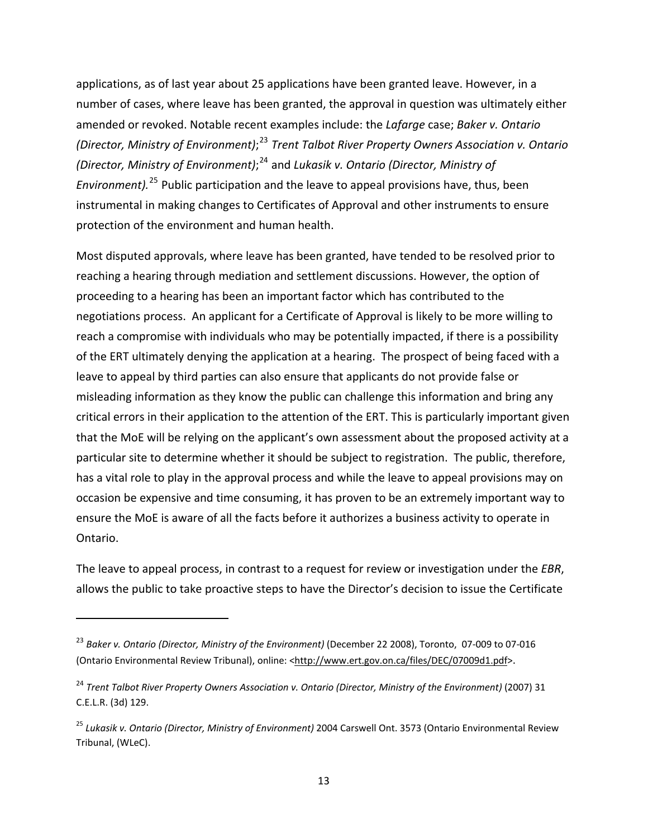applications, as of last year about 25 applications have been granted leave. However, in a number of cases, where leave has been granted, the approval in question was ultimately either amended or revoked. Notable recent examples include: the *Lafarge* case; *Baker v. Ontario (Director, Ministry of Environment)*; [23](#page-12-0) *Trent Talbot River Property Owners Association v. Ontario (Director, Ministry of Environment)*; [24](#page-12-1) and *Lukasik v. Ontario (Director, Ministry of Environment).*[25](#page-12-2) Public participation and the leave to appeal provisions have, thus, been instrumental in making changes to Certificates of Approval and other instruments to ensure protection of the environment and human health.

Most disputed approvals, where leave has been granted, have tended to be resolved prior to reaching a hearing through mediation and settlement discussions. However, the option of proceeding to a hearing has been an important factor which has contributed to the negotiations process. An applicant for a Certificate of Approval is likely to be more willing to reach a compromise with individuals who may be potentially impacted, if there is a possibility of the ERT ultimately denying the application at a hearing. The prospect of being faced with a leave to appeal by third parties can also ensure that applicants do not provide false or misleading information as they know the public can challenge this information and bring any critical errors in their application to the attention of the ERT. This is particularly important given that the MoE will be relying on the applicant's own assessment about the proposed activity at a particular site to determine whether it should be subject to registration. The public, therefore, has a vital role to play in the approval process and while the leave to appeal provisions may on occasion be expensive and time consuming, it has proven to be an extremely important way to ensure the MoE is aware of all the facts before it authorizes a business activity to operate in Ontario.

The leave to appeal process, in contrast to a request for review or investigation under the *EBR*, allows the public to take proactive steps to have the Director's decision to issue the Certificate

<span id="page-12-0"></span><sup>23</sup> *Baker v. Ontario (Director, Ministry of the Environment)* (December 22 2008), Toronto, 07‐009 to 07‐016 (Ontario Environmental Review Tribunal), online: [<http://www.ert.gov.on.ca/files/DEC/07009d1.pdf>](http://www.ert.gov.on.ca/files/DEC/07009d1.pdf).

<span id="page-12-1"></span><sup>24</sup> *Trent Talbot River Property Owners Association v. Ontario (Director, Ministry of the Environment)* (2007) 31 C.E.L.R. (3d) 129.

<span id="page-12-2"></span><sup>25</sup> *Lukasik v. Ontario (Director, Ministry of Environment)* 2004 Carswell Ont. 3573 (Ontario Environmental Review Tribunal, (WLeC).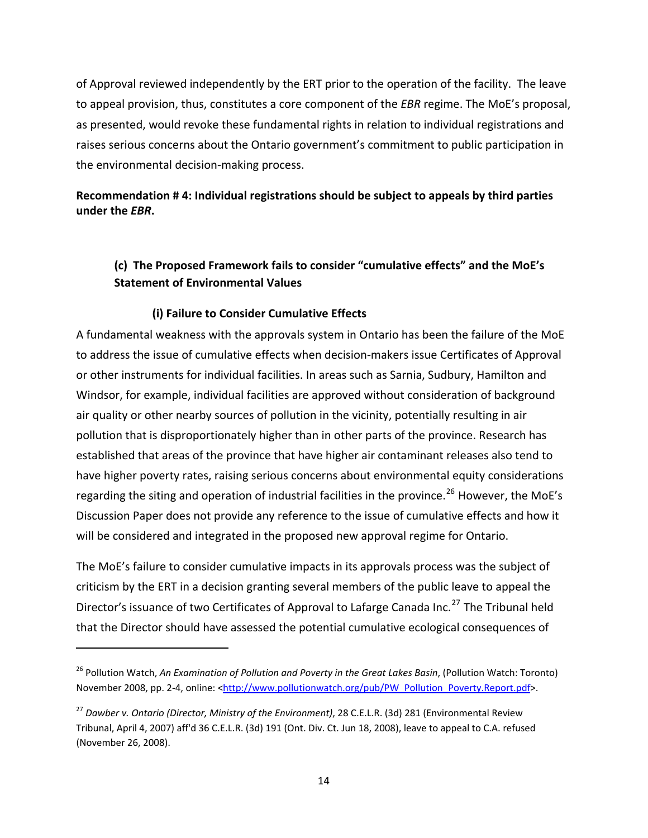<span id="page-13-0"></span>of Approval reviewed independently by the ERT prior to the operation of the facility. The leave to appeal provision, thus, constitutes a core component of the *EBR* regime. The MoE's proposal, as presented, would revoke these fundamental rights in relation to individual registrations and raises serious concerns about the Ontario government's commitment to public participation in the environmental decision‐making process.

# **Recommendation # 4: Individual registrations should be subject to appeals by third parties under the** *EBR***.**

# **(c) The Proposed Framework fails to consider "cumulative effects" and the MoE's Statement of Environmental Values**

#### **(i) Failure to Consider Cumulative Effects**

A fundamental weakness with the approvals system in Ontario has been the failure of the MoE to address the issue of cumulative effects when decision‐makers issue Certificates of Approval or other instruments for individual facilities. In areas such as Sarnia, Sudbury, Hamilton and Windsor, for example, individual facilities are approved without consideration of background air quality or other nearby sources of pollution in the vicinity, potentially resulting in air pollution that is disproportionately higher than in other parts of the province. Research has established that areas of the province that have higher air contaminant releases also tend to have higher poverty rates, raising serious concerns about environmental equity considerations regarding the siting and operation of industrial facilities in the province.<sup>[26](#page-13-1)</sup> However, the MoE's Discussion Paper does not provide any reference to the issue of cumulative effects and how it will be considered and integrated in the proposed new approval regime for Ontario.

The MoE's failure to consider cumulative impacts in its approvals process was the subject of criticism by the ERT in a decision granting several members of the public leave to appeal the Director's issuance of two Certificates of Approval to Lafarge Canada Inc.<sup>[27](#page-13-2)</sup> The Tribunal held that the Director should have assessed the potential cumulative ecological consequences of

<span id="page-13-1"></span><sup>26</sup> Pollution Watch, *An Examination of Pollution and Poverty in the Great Lakes Basin*, (Pollution Watch: Toronto) November 2008, pp. 2-4, online: <[http://www.pollutionwatch.org/pub/PW\\_Pollution\\_Poverty.Report.pdf](http://www.pollutionwatch.org/pub/PW_Pollution_Poverty.Report.pdf)>.

<span id="page-13-2"></span><sup>27</sup> *Dawber v. Ontario (Director, Ministry of the Environment)*, 28 C.E.L.R. (3d) 281 (Environmental Review Tribunal, April 4, 2007) aff'd 36 C.E.L.R. (3d) 191 (Ont. Div. Ct. Jun 18, 2008), leave to appeal to C.A. refused (November 26, 2008).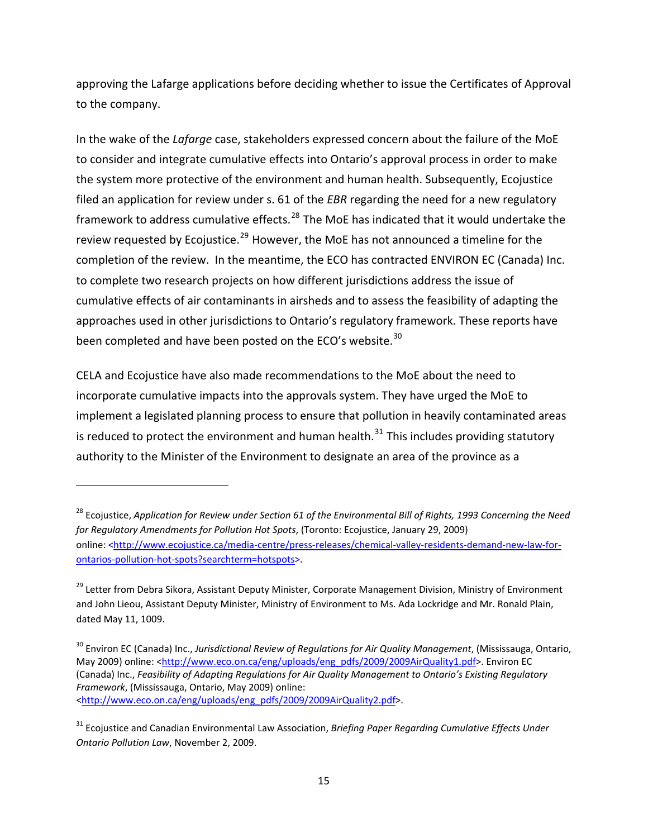approving the Lafarge applications before deciding whether to issue the Certificates of Approval to the company.

In the wake of the *Lafarge* case, stakeholders expressed concern about the failure of the MoE to consider and integrate cumulative effects into Ontario's approval process in order to make the system more protective of the environment and human health. Subsequently, Ecojustice filed an application for review under s. 61 of the *EBR* regarding the need for a new regulatory framework to address cumulative effects. $^{28}$  $^{28}$  $^{28}$  The MoE has indicated that it would undertake the review requested by Ecojustice.<sup>[29](#page-14-1)</sup> However, the MoE has not announced a timeline for the completion of the review. In the meantime, the ECO has contracted ENVIRON EC (Canada) Inc. to complete two research projects on how different jurisdictions address the issue of cumulative effects of air contaminants in airsheds and to assess the feasibility of adapting the approaches used in other jurisdictions to Ontario's regulatory framework. These reports have been completed and have been posted on the ECO's website. $30$ 

CELA and Ecojustice have also made recommendations to the MoE about the need to incorporate cumulative impacts into the approvals system. They have urged the MoE to implement a legislated planning process to ensure that pollution in heavily contaminated areas is reduced to protect the environment and human health. $31$  This includes providing statutory authority to the Minister of the Environment to designate an area of the province as a

<span id="page-14-0"></span><sup>&</sup>lt;sup>28</sup> Ecojustice, Application for Review under Section 61 of the Environmental Bill of Rights, 1993 Concerning the Need *for Regulatory Amendments for Pollution Hot Spots*, (Toronto: Ecojustice, January 29, 2009) online: [<http://www.ecojustice.ca/media](http://www.ecojustice.ca/media-centre/press-releases/chemical-valley-residents-demand-new-law-for-ontarios-pollution-hot-spots?searchterm=hotspots)‐centre/press‐releases/chemical‐valley‐residents‐demand‐new‐law‐for‐ ontarios‐pollution‐hot‐[spots?searchterm=hotspots>](http://www.ecojustice.ca/media-centre/press-releases/chemical-valley-residents-demand-new-law-for-ontarios-pollution-hot-spots?searchterm=hotspots).

<span id="page-14-1"></span><sup>&</sup>lt;sup>29</sup> Letter from Debra Sikora, Assistant Deputy Minister, Corporate Management Division, Ministry of Environment and John Lieou, Assistant Deputy Minister, Ministry of Environment to Ms. Ada Lockridge and Mr. Ronald Plain, dated May 11, 1009.

<span id="page-14-2"></span><sup>30</sup> Environ EC (Canada) Inc., *Jurisdictional Review of Regulations for Air Quality Management*, (Mississauga, Ontario, May 2009) online: [<http://www.eco.on.ca/eng/uploads/eng\\_pdfs/2009/2009AirQuality1.pdf>](http://www.eco.on.ca/eng/uploads/eng_pdfs/2009/2009AirQuality1.pdf). Environ EC (Canada) Inc., *Feasibility of Adapting Regulations for Air Quality Management to Ontario's Existing Regulatory Framework*, (Mississauga, Ontario, May 2009) online: [<http://www.eco.on.ca/eng/uploads/eng\\_pdfs/2009/2009AirQuality2.pdf>](http://www.eco.on.ca/eng/uploads/eng_pdfs/2009/2009AirQuality2.pdf).

<span id="page-14-3"></span><sup>31</sup> Ecojustice and Canadian Environmental Law Association, *Briefing Paper Regarding Cumulative Effects Under Ontario Pollution Law*, November 2, 2009.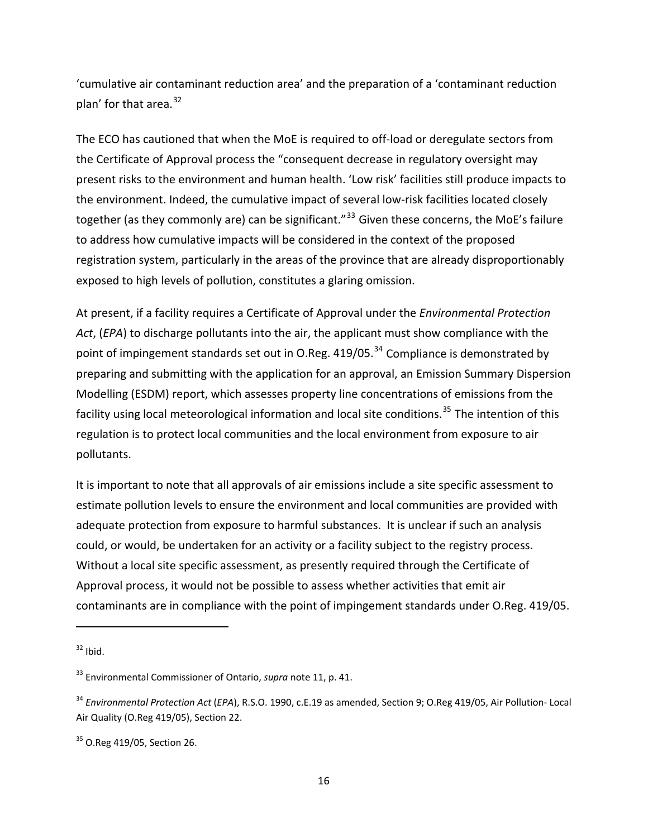'cumulative air contaminant reduction area' and the preparation of a 'contaminant reduction plan' for that area.<sup>[32](#page-15-0)</sup>

The ECO has cautioned that when the MoE is required to off‐load or deregulate sectors from the Certificate of Approval process the "consequent decrease in regulatory oversight may present risks to the environment and human health. 'Low risk' facilities still produce impacts to the environment. Indeed, the cumulative impact of several low‐risk facilities located closely together (as they commonly are) can be significant."<sup>[33](#page-15-1)</sup> Given these concerns, the MoE's failure to address how cumulative impacts will be considered in the context of the proposed registration system, particularly in the areas of the province that are already disproportionably exposed to high levels of pollution, constitutes a glaring omission.

At present, if a facility requires a Certificate of Approval under the *Environmental Protection Act*, (*EPA*) to discharge pollutants into the air, the applicant must show compliance with the point of impingement standards set out in O.Reg. 419/05.<sup>[34](#page-15-2)</sup> Compliance is demonstrated by preparing and submitting with the application for an approval, an Emission Summary Dispersion Modelling (ESDM) report, which assesses property line concentrations of emissions from the facility using local meteorological information and local site conditions.<sup>[35](#page-15-3)</sup> The intention of this regulation is to protect local communities and the local environment from exposure to air pollutants.

It is important to note that all approvals of air emissions include a site specific assessment to estimate pollution levels to ensure the environment and local communities are provided with adequate protection from exposure to harmful substances. It is unclear if such an analysis could, or would, be undertaken for an activity or a facility subject to the registry process. Without a local site specific assessment, as presently required through the Certificate of Approval process, it would not be possible to assess whether activities that emit air contaminants are in compliance with the point of impingement standards under O.Reg. 419/05.

<span id="page-15-0"></span> $32$  Ibid.

<span id="page-15-1"></span><sup>33</sup> Environmental Commissioner of Ontario, *supra* note 11, p. 41.

<span id="page-15-2"></span><sup>34</sup> *Environmental Protection Act* (*EPA*), R.S.O. 1990, c.E.19 as amended, Section 9; O.Reg 419/05, Air Pollution‐ Local Air Quality (O.Reg 419/05), Section 22.

<span id="page-15-3"></span> $35$  O.Reg 419/05, Section 26.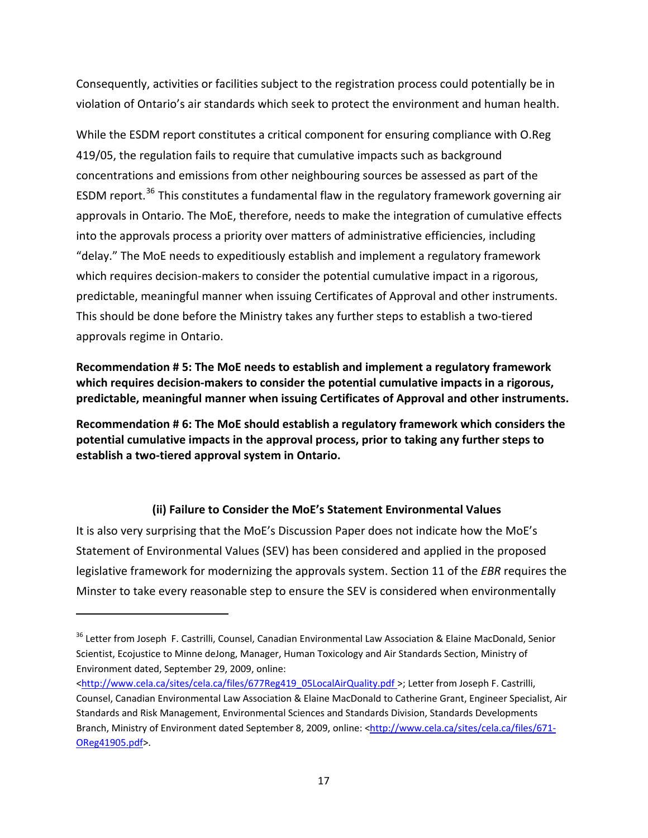<span id="page-16-0"></span>Consequently, activities or facilities subject to the registration process could potentially be in violation of Ontario's air standards which seek to protect the environment and human health.

While the ESDM report constitutes a critical component for ensuring compliance with O.Reg 419/05, the regulation fails to require that cumulative impacts such as background concentrations and emissions from other neighbouring sources be assessed as part of the ESDM report.<sup>[36](#page-16-1)</sup> This constitutes a fundamental flaw in the regulatory framework governing air approvals in Ontario. The MoE, therefore, needs to make the integration of cumulative effects into the approvals process a priority over matters of administrative efficiencies, including "delay." The MoE needs to expeditiously establish and implement a regulatory framework which requires decision-makers to consider the potential cumulative impact in a rigorous, predictable, meaningful manner when issuing Certificates of Approval and other instruments. This should be done before the Ministry takes any further steps to establish a two‐tiered approvals regime in Ontario.

**Recommendation # 5: The MoE needs to establish and implement a regulatory framework which requires decision‐makers to consider the potential cumulative impacts in a rigorous, predictable, meaningful manner when issuing Certificates of Approval and other instruments.**

**Recommendation # 6: The MoE should establish a regulatory framework which considers the potential cumulative impacts in the approval process, prior to taking any further steps to establish a two‐tiered approval system in Ontario.** 

# **(ii) Failure to Consider the MoE's Statement Environmental Values**

It is also very surprising that the MoE's Discussion Paper does not indicate how the MoE's Statement of Environmental Values (SEV) has been considered and applied in the proposed legislative framework for modernizing the approvals system. Section 11 of the *EBR* requires the Minster to take every reasonable step to ensure the SEV is considered when environmentally

<span id="page-16-1"></span><sup>&</sup>lt;sup>36</sup> Letter from Joseph F. Castrilli, Counsel, Canadian Environmental Law Association & Elaine MacDonald, Senior Scientist, Ecojustice to Minne deJong, Manager, Human Toxicology and Air Standards Section, Ministry of Environment dated, September 29, 2009, online:

[<sup>&</sup>lt;http://www.cela.ca/sites/cela.ca/files/677Reg419\\_05LocalAirQuality.pdf](http://www.cela.ca/sites/cela.ca/files/677Reg419_05LocalAirQuality.pdf) >; Letter from Joseph F. Castrilli, Counsel, Canadian Environmental Law Association & Elaine MacDonald to Catherine Grant, Engineer Specialist, Air Standards and Risk Management, Environmental Sciences and Standards Division, Standards Developments Branch, Ministry of Environment dated September 8, 2009, online: <[http://www.cela.ca/sites/cela.ca/files/671](http://www.cela.ca/sites/cela.ca/files/671-OReg41905.pdf)-[OReg41905.pdf](http://www.cela.ca/sites/cela.ca/files/671-OReg41905.pdf)>.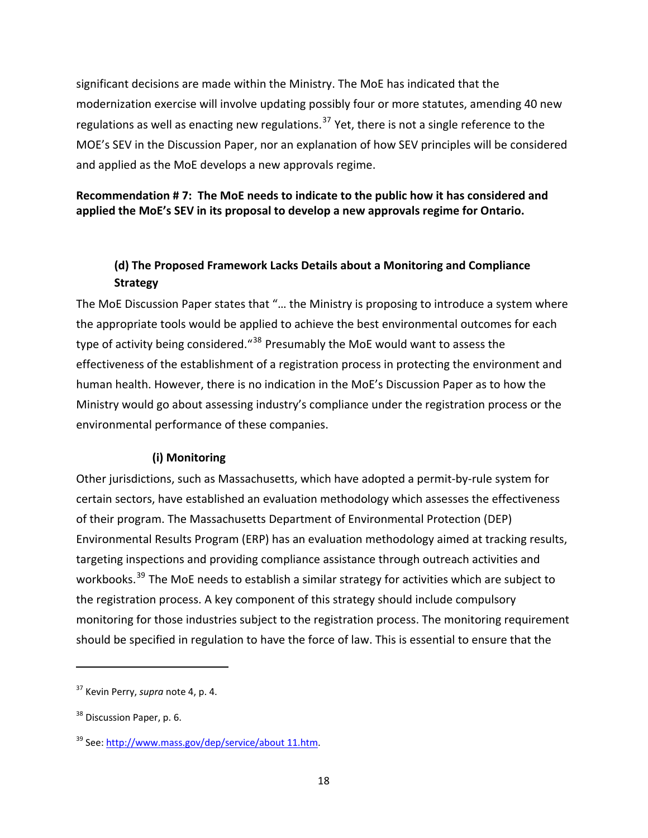<span id="page-17-0"></span>significant decisions are made within the Ministry. The MoE has indicated that the modernization exercise will involve updating possibly four or more statutes, amending 40 new regulations as well as enacting new regulations.<sup>[37](#page-17-1)</sup> Yet, there is not a single reference to the MOE's SEV in the Discussion Paper, nor an explanation of how SEV principles will be considered and applied as the MoE develops a new approvals regime.

#### **Recommendation # 7: The MoE needs to indicate to the public how it has considered and applied the MoE's SEV in its proposal to develop a new approvals regime for Ontario.**

# **(d) The Proposed Framework Lacks Details about a Monitoring and Compliance Strategy**

The MoE Discussion Paper states that "… the Ministry is proposing to introduce a system where the appropriate tools would be applied to achieve the best environmental outcomes for each type of activity being considered.<sup>"[38](#page-17-2)</sup> Presumably the MoE would want to assess the effectiveness of the establishment of a registration process in protecting the environment and human health. However, there is no indication in the MoE's Discussion Paper as to how the Ministry would go about assessing industry's compliance under the registration process or the environmental performance of these companies.

#### **(i) Monitoring**

Other jurisdictions, such as Massachusetts, which have adopted a permit‐by‐rule system for certain sectors, have established an evaluation methodology which assesses the effectiveness of their program. The Massachusetts Department of Environmental Protection (DEP) Environmental Results Program (ERP) has an evaluation methodology aimed at tracking results, targeting inspections and providing compliance assistance through outreach activities and workbooks.<sup>[39](#page-17-3)</sup> The MoE needs to establish a similar strategy for activities which are subject to the registration process. A key component of this strategy should include compulsory monitoring for those industries subject to the registration process. The monitoring requirement should be specified in regulation to have the force of law. This is essential to ensure that the

<span id="page-17-1"></span><sup>37</sup> Kevin Perry, *supra* note 4, p. 4.

<span id="page-17-2"></span><sup>&</sup>lt;sup>38</sup> Discussion Paper, p. 6.

<span id="page-17-3"></span><sup>&</sup>lt;sup>39</sup> See: [http://www.mass.gov/dep/service/about](http://www.mass.gov/dep/service/about%2011.htm) 11.htm.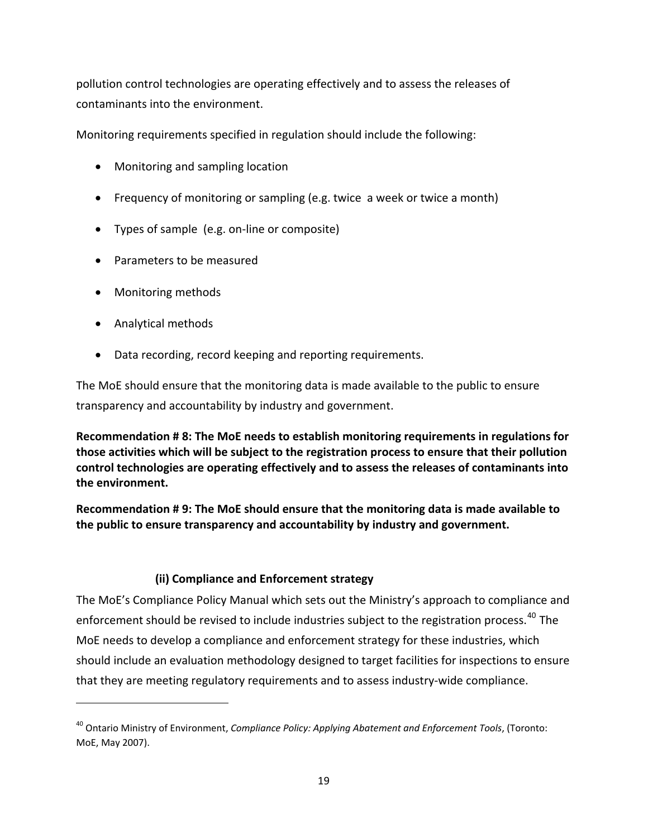<span id="page-18-0"></span>pollution control technologies are operating effectively and to assess the releases of contaminants into the environment.

Monitoring requirements specified in regulation should include the following:

- Monitoring and sampling location
- Frequency of monitoring or sampling (e.g. twice a week or twice a month)
- Types of sample (e.g. on‐line or composite)
- Parameters to be measured
- Monitoring methods
- Analytical methods

• Data recording, record keeping and reporting requirements.

The MoE should ensure that the monitoring data is made available to the public to ensure transparency and accountability by industry and government.

**Recommendation # 8: The MoE needs to establish monitoring requirements in regulations for those activities which will be subject to the registration process to ensure that their pollution control technologies are operating effectively and to assess the releases of contaminants into the environment.** 

**Recommendation # 9: The MoE should ensure that the monitoring data is made available to the public to ensure transparency and accountability by industry and government.**

# **(ii) Compliance and Enforcement strategy**

The MoE's Compliance Policy Manual which sets out the Ministry's approach to compliance and enforcement should be revised to include industries subject to the registration process.<sup>[40](#page-18-1)</sup> The MoE needs to develop a compliance and enforcement strategy for these industries, which should include an evaluation methodology designed to target facilities for inspections to ensure that they are meeting regulatory requirements and to assess industry‐wide compliance.

<span id="page-18-1"></span><sup>40</sup> Ontario Ministry of Environment, *Compliance Policy: Applying Abatement and Enforcement Tools*, (Toronto: MoE, May 2007).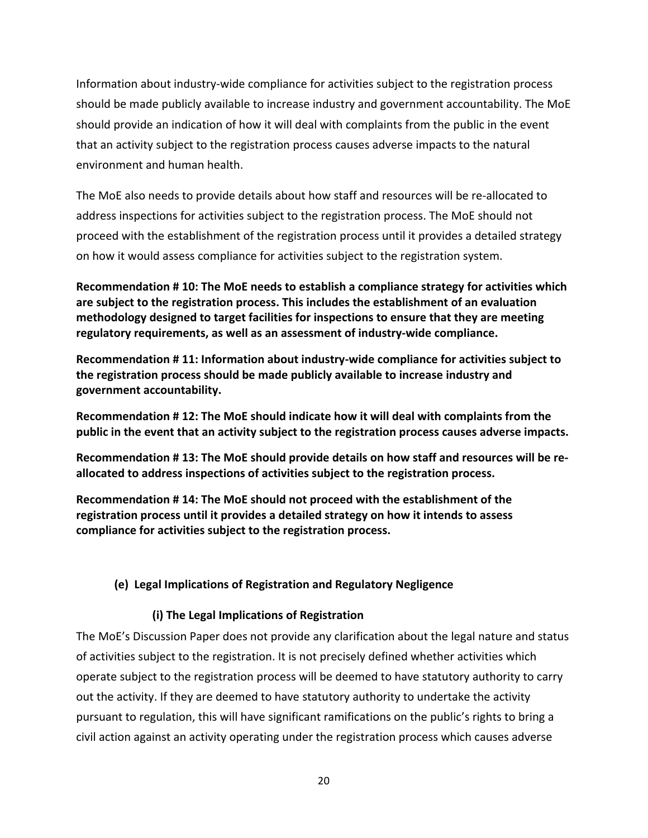<span id="page-19-0"></span>Information about industry-wide compliance for activities subject to the registration process should be made publicly available to increase industry and government accountability. The MoE should provide an indication of how it will deal with complaints from the public in the event that an activity subject to the registration process causes adverse impacts to the natural environment and human health.

The MoE also needs to provide details about how staff and resources will be re‐allocated to address inspections for activities subject to the registration process. The MoE should not proceed with the establishment of the registration process until it provides a detailed strategy on how it would assess compliance for activities subject to the registration system.

**Recommendation # 10: The MoE needs to establish a compliance strategy for activities which are subject to the registration process. This includes the establishment of an evaluation methodology designed to target facilities for inspections to ensure that they are meeting regulatory requirements, as well as an assessment of industry‐wide compliance.**

**Recommendation # 11: Information about industry‐wide compliance for activities subject to the registration process should be made publicly available to increase industry and government accountability.**

**Recommendation # 12: The MoE should indicate how it will deal with complaints from the public in the event that an activity subject to the registration process causes adverse impacts.**

**Recommendation # 13: The MoE should provide details on how staff and resources will be re‐ allocated to address inspections of activities subject to the registration process.** 

**Recommendation # 14: The MoE should not proceed with the establishment of the registration process until it provides a detailed strategy on how it intends to assess compliance for activities subject to the registration process.** 

# **(e) Legal Implications of Registration and Regulatory Negligence**

#### **(i) The Legal Implications of Registration**

The MoE's Discussion Paper does not provide any clarification about the legal nature and status of activities subject to the registration. It is not precisely defined whether activities which operate subject to the registration process will be deemed to have statutory authority to carry out the activity. If they are deemed to have statutory authority to undertake the activity pursuant to regulation, this will have significant ramifications on the public's rights to bring a civil action against an activity operating under the registration process which causes adverse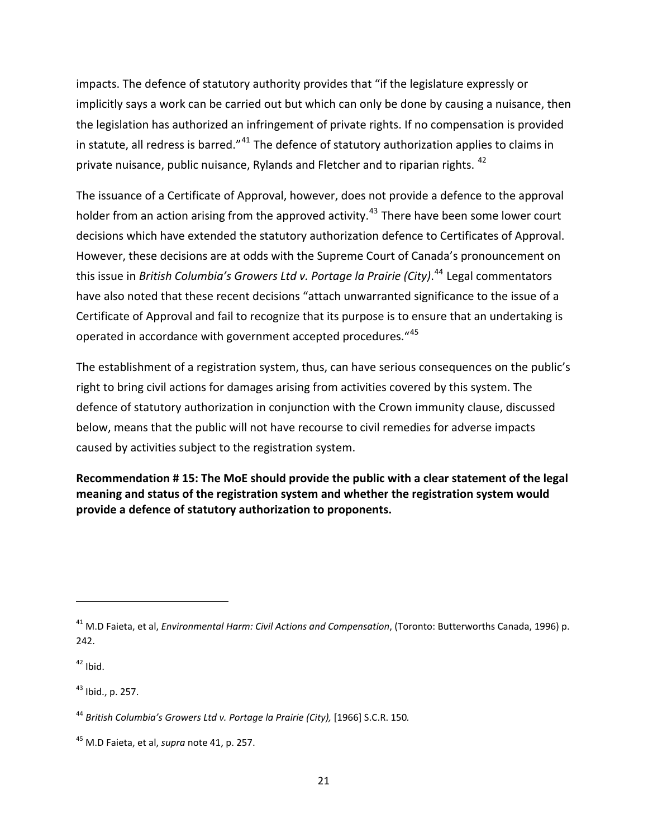impacts. The defence of statutory authority provides that "if the legislature expressly or implicitly says a work can be carried out but which can only be done by causing a nuisance, then the legislation has authorized an infringement of private rights. If no compensation is provided in statute, all redress is barred."<sup>[41](#page-20-0)</sup> The defence of statutory authorization applies to claims in private nuisance, public nuisance, Rylands and Fletcher and to riparian rights.<sup>[42](#page-20-1)</sup>

The issuance of a Certificate of Approval, however, does not provide a defence to the approval holder from an action arising from the approved activity.<sup>[43](#page-20-2)</sup> There have been some lower court decisions which have extended the statutory authorization defence to Certificates of Approval. However, these decisions are at odds with the Supreme Court of Canada's pronouncement on this issue in *British Columbia's Growers Ltd v. Portage la Prairie (City)*. [44](#page-20-3) Legal commentators have also noted that these recent decisions "attach unwarranted significance to the issue of a Certificate of Approval and fail to recognize that its purpose is to ensure that an undertaking is operated in accordance with government accepted procedures. "[45](#page-20-4)

The establishment of a registration system, thus, can have serious consequences on the public's right to bring civil actions for damages arising from activities covered by this system. The defence of statutory authorization in conjunction with the Crown immunity clause, discussed below, means that the public will not have recourse to civil remedies for adverse impacts caused by activities subject to the registration system.

**Recommendation # 15: The MoE should provide the public with a clear statement of the legal meaning and status of the registration system and whether the registration system would provide a defence of statutory authorization to proponents.** 

<span id="page-20-1"></span> $42$  Ibid.

<span id="page-20-2"></span> $43$  Ibid., p. 257.

<span id="page-20-0"></span><sup>41</sup> M.D Faieta, et al, *Environmental Harm: Civil Actions and Compensation*, (Toronto: Butterworths Canada, 1996) p. 242.

<span id="page-20-3"></span><sup>44</sup> *British Columbia's Growers Ltd v. Portage la Prairie (City),* [1966] S.C.R. 150*.*

<span id="page-20-4"></span><sup>45</sup> M.D Faieta, et al, *supra* note 41, p. 257.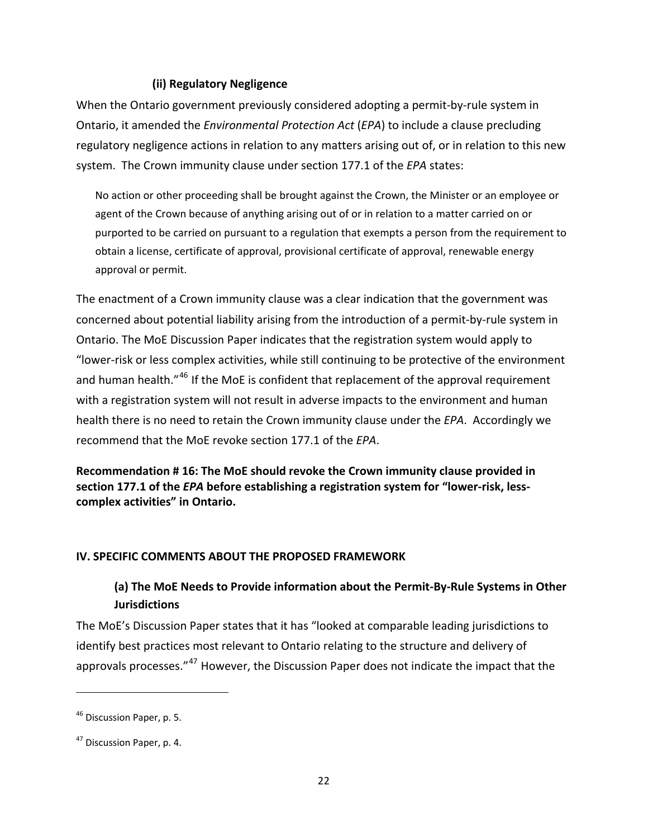#### **(ii) Regulatory Negligence**

<span id="page-21-0"></span>When the Ontario government previously considered adopting a permit‐by‐rule system in Ontario, it amended the *Environmental Protection Act* (*EPA*) to include a clause precluding regulatory negligence actions in relation to any matters arising out of, or in relation to this new system. The Crown immunity clause under section 177.1 of the *EPA* states:

No action or other proceeding shall be brought against the Crown, the Minister or an employee or agent of the Crown because of anything arising out of or in relation to a matter carried on or purported to be carried on pursuant to a regulation that exempts a person from the requirement to obtain a license, certificate of approval, provisional certificate of approval, renewable energy approval or permit.

The enactment of a Crown immunity clause was a clear indication that the government was concerned about potential liability arising from the introduction of a permit‐by‐rule system in Ontario. The MoE Discussion Paper indicates that the registration system would apply to "lower‐risk or less complex activities, while still continuing to be protective of the environment and human health."<sup>[46](#page-21-1)</sup> If the MoE is confident that replacement of the approval requirement with a registration system will not result in adverse impacts to the environment and human health there is no need to retain the Crown immunity clause under the *EPA*. Accordingly we recommend that the MoE revoke section 177.1 of the *EPA*.

**Recommendation # 16: The MoE should revoke the Crown immunity clause provided in section 177.1 of the** *EPA* **before establishing a registration system for "lower‐risk, less‐ complex activities" in Ontario.** 

#### **IV. SPECIFIC COMMENTS ABOUT THE PROPOSED FRAMEWORK**

# **(a) The MoE Needs to Provide information about the Permit‐By‐Rule Systems in Other Jurisdictions**

The MoE's Discussion Paper states that it has "looked at comparable leading jurisdictions to identify best practices most relevant to Ontario relating to the structure and delivery of approvals processes."<sup>[47](#page-21-2)</sup> However, the Discussion Paper does not indicate the impact that the

<span id="page-21-1"></span><sup>&</sup>lt;sup>46</sup> Discussion Paper, p. 5.

<span id="page-21-2"></span><sup>47</sup> Discussion Paper, p. 4.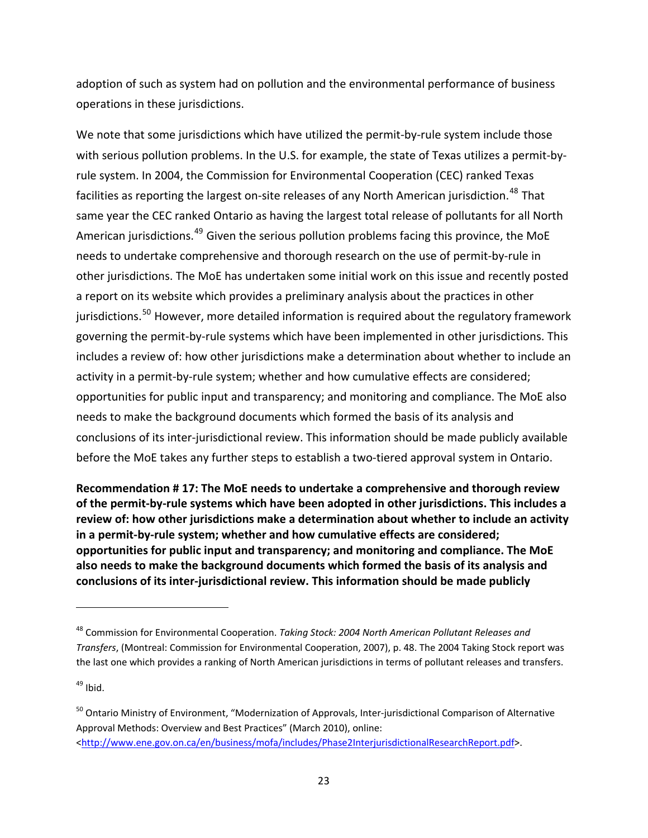adoption of such as system had on pollution and the environmental performance of business operations in these jurisdictions.

We note that some jurisdictions which have utilized the permit-by-rule system include those with serious pollution problems. In the U.S. for example, the state of Texas utilizes a permit‐by‐ rule system. In 2004, the Commission for Environmental Cooperation (CEC) ranked Texas facilities as reporting the largest on-site releases of any North American jurisdiction.<sup>[48](#page-22-0)</sup> That same year the CEC ranked Ontario as having the largest total release of pollutants for all North American jurisdictions.<sup>[49](#page-22-1)</sup> Given the serious pollution problems facing this province, the MoE needs to undertake comprehensive and thorough research on the use of permit‐by‐rule in other jurisdictions. The MoE has undertaken some initial work on this issue and recently posted a report on its website which provides a preliminary analysis about the practices in other jurisdictions.<sup>[50](#page-22-2)</sup> However, more detailed information is required about the regulatory framework governing the permit‐by‐rule systems which have been implemented in other jurisdictions. This includes a review of: how other jurisdictions make a determination about whether to include an activity in a permit-by-rule system; whether and how cumulative effects are considered; opportunities for public input and transparency; and monitoring and compliance. The MoE also needs to make the background documents which formed the basis of its analysis and conclusions of its inter‐jurisdictional review. This information should be made publicly available before the MoE takes any further steps to establish a two-tiered approval system in Ontario.

**Recommendation # 17: The MoE needs to undertake a comprehensive and thorough review of the permit‐by‐rule systems which have been adopted in other jurisdictions. This includes a review of: how other jurisdictions make a determination about whether to include an activity in a permit‐by‐rule system; whether and how cumulative effects are considered; opportunities for public input and transparency; and monitoring and compliance. The MoE also needs to make the background documents which formed the basis of its analysis and conclusions of its inter‐jurisdictional review. This information should be made publicly**

<span id="page-22-1"></span> $49$  Ibid.

<span id="page-22-0"></span><sup>48</sup> Commission for Environmental Cooperation. *Taking Stock: 2004 North American Pollutant Releases and Transfers*, (Montreal: Commission for Environmental Cooperation, 2007), p. 48. The 2004 Taking Stock report was the last one which provides a ranking of North American jurisdictions in terms of pollutant releases and transfers.

<span id="page-22-2"></span><sup>50</sup> Ontario Ministry of Environment, "Modernization of Approvals, Inter-jurisdictional Comparison of Alternative Approval Methods: Overview and Best Practices" (March 2010), online: [<http://www.ene.gov.on.ca/en/business/mofa/includes/Phase2InterjurisdictionalResearchReport.pdf](http://www.ene.gov.on.ca/en/business/mofa/includes/Phase2InterjurisdictionalResearchReport.pdf)>.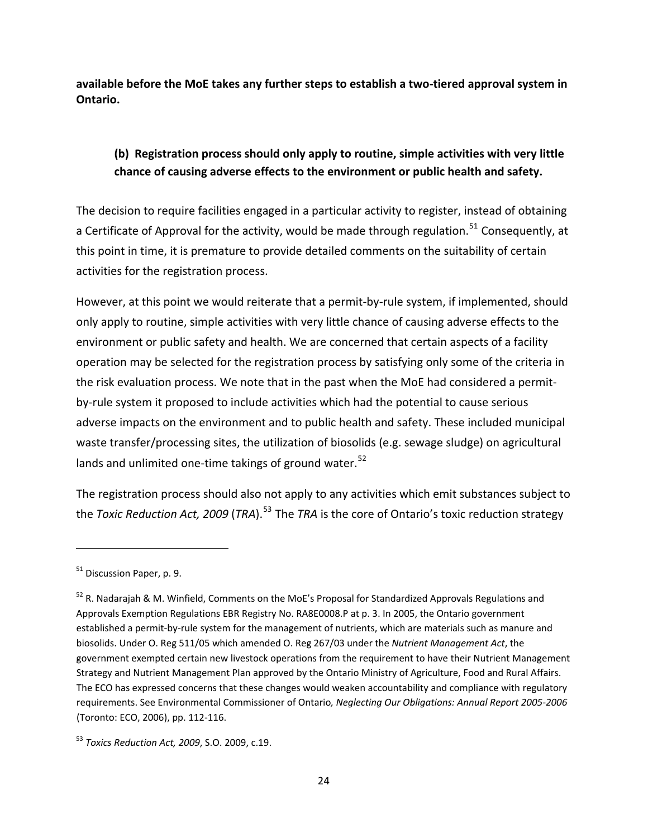<span id="page-23-0"></span>**available before the MoE takes any further steps to establish a two‐tiered approval system in Ontario.**

# **(b) Registration process should only apply to routine, simple activities with very little chance of causing adverse effects to the environment or public health and safety.**

The decision to require facilities engaged in a particular activity to register, instead of obtaining a Certificate of Approval for the activity, would be made through regulation.<sup>[51](#page-23-1)</sup> Consequently, at this point in time, it is premature to provide detailed comments on the suitability of certain activities for the registration process.

However, at this point we would reiterate that a permit-by-rule system, if implemented, should only apply to routine, simple activities with very little chance of causing adverse effects to the environment or public safety and health. We are concerned that certain aspects of a facility operation may be selected for the registration process by satisfying only some of the criteria in the risk evaluation process. We note that in the past when the MoE had considered a permit‐ by-rule system it proposed to include activities which had the potential to cause serious adverse impacts on the environment and to public health and safety. These included municipal waste transfer/processing sites, the utilization of biosolids (e.g. sewage sludge) on agricultural lands and unlimited one-time takings of ground water.<sup>[52](#page-23-2)</sup>

The registration process should also not apply to any activities which emit substances subject to the *Toxic Reduction Act, 2009* (*TRA*).[53](#page-23-3) The *TRA* is the core of Ontario's toxic reduction strategy

<span id="page-23-1"></span><sup>&</sup>lt;sup>51</sup> Discussion Paper, p. 9.

<span id="page-23-2"></span><sup>&</sup>lt;sup>52</sup> R. Nadarajah & M. Winfield, Comments on the MoE's Proposal for Standardized Approvals Regulations and Approvals Exemption Regulations EBR Registry No. RA8E0008.P at p. 3. In 2005, the Ontario government established a permit‐by‐rule system for the management of nutrients, which are materials such as manure and biosolids. Under O. Reg 511/05 which amended O. Reg 267/03 under the *Nutrient Management Act*, the government exempted certain new livestock operations from the requirement to have their Nutrient Management Strategy and Nutrient Management Plan approved by the Ontario Ministry of Agriculture, Food and Rural Affairs. The ECO has expressed concerns that these changes would weaken accountability and compliance with regulatory requirements. See Environmental Commissioner of Ontario*, Neglecting Our Obligations: Annual Report 2005‐2006* (Toronto: ECO, 2006), pp. 112‐116.

<span id="page-23-3"></span><sup>53</sup> *Toxics Reduction Act, 2009*, S.O. 2009, c.19.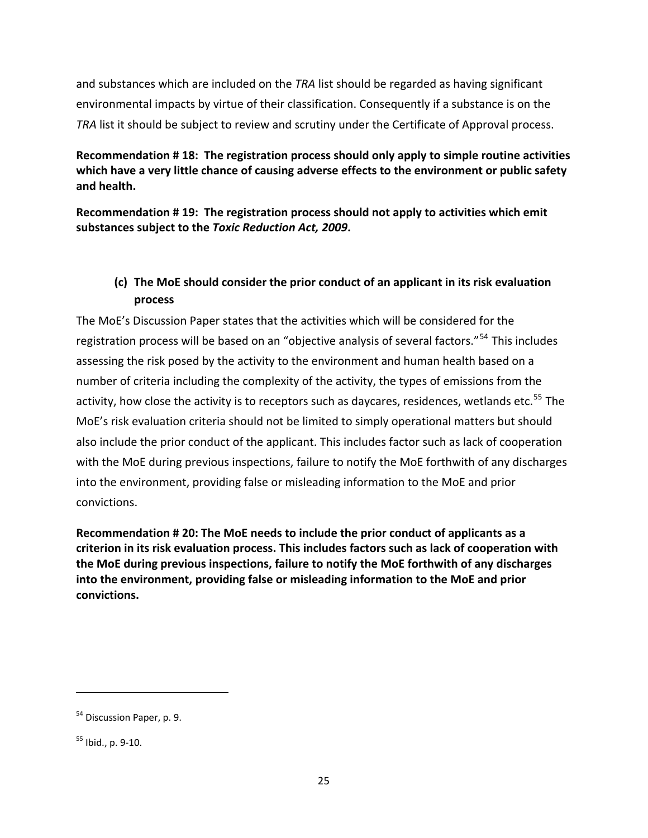<span id="page-24-0"></span>and substances which are included on the *TRA* list should be regarded as having significant environmental impacts by virtue of their classification. Consequently if a substance is on the *TRA* list it should be subject to review and scrutiny under the Certificate of Approval process.

**Recommendation # 18: The registration process should only apply to simple routine activities which have a very little chance of causing adverse effects to the environment or public safety and health.**

**Recommendation # 19: The registration process should not apply to activities which emit substances subject to the** *Toxic Reduction Act, 2009***.** 

# **(c) The MoE should consider the prior conduct of an applicant in its risk evaluation process**

The MoE's Discussion Paper states that the activities which will be considered for the registration process will be based on an "objective analysis of several factors."[54](#page-24-1) This includes assessing the risk posed by the activity to the environment and human health based on a number of criteria including the complexity of the activity, the types of emissions from the activity, how close the activity is to receptors such as daycares, residences, wetlands etc.<sup>[55](#page-24-2)</sup> The MoE's risk evaluation criteria should not be limited to simply operational matters but should also include the prior conduct of the applicant. This includes factor such as lack of cooperation with the MoE during previous inspections, failure to notify the MoE forthwith of any discharges into the environment, providing false or misleading information to the MoE and prior convictions.

**Recommendation # 20: The MoE needs to include the prior conduct of applicants as a criterion in its risk evaluation process. This includes factors such as lack of cooperation with the MoE during previous inspections, failure to notify the MoE forthwith of any discharges into the environment, providing false or misleading information to the MoE and prior convictions.** 

<span id="page-24-1"></span><sup>&</sup>lt;sup>54</sup> Discussion Paper, p. 9.

<span id="page-24-2"></span> $55$  Ibid., p. 9-10.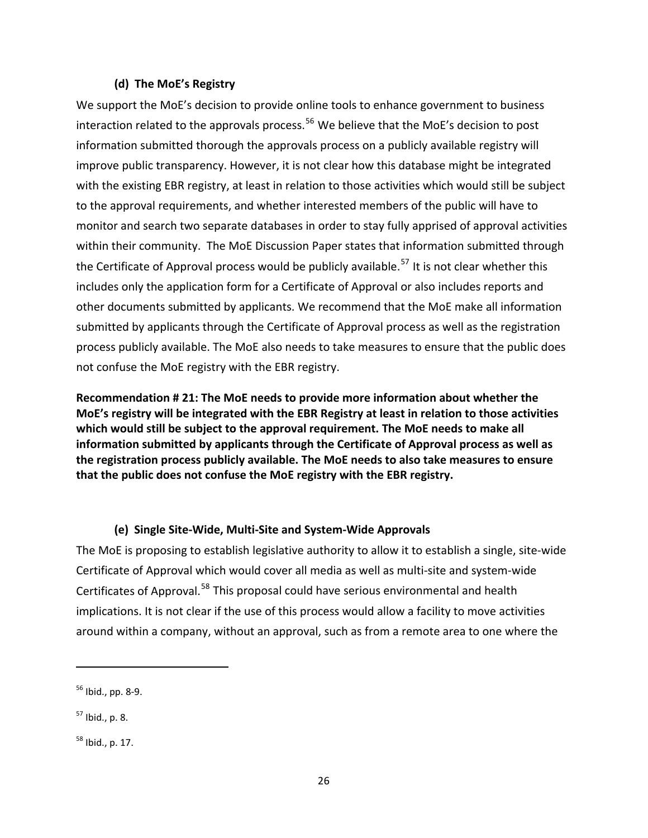#### **(d) The MoE's Registry**

<span id="page-25-0"></span>We support the MoE's decision to provide online tools to enhance government to business interaction related to the approvals process.<sup>[56](#page-25-1)</sup> We believe that the MoE's decision to post information submitted thorough the approvals process on a publicly available registry will improve public transparency. However, it is not clear how this database might be integrated with the existing EBR registry, at least in relation to those activities which would still be subject to the approval requirements, and whether interested members of the public will have to monitor and search two separate databases in order to stay fully apprised of approval activities within their community. The MoE Discussion Paper states that information submitted through the Certificate of Approval process would be publicly available.<sup>[57](#page-25-2)</sup> It is not clear whether this includes only the application form for a Certificate of Approval or also includes reports and other documents submitted by applicants. We recommend that the MoE make all information submitted by applicants through the Certificate of Approval process as well as the registration process publicly available. The MoE also needs to take measures to ensure that the public does not confuse the MoE registry with the EBR registry.

**Recommendation # 21: The MoE needs to provide more information about whether the MoE's registry will be integrated with the EBR Registry at least in relation to those activities which would still be subject to the approval requirement. The MoE needs to make all information submitted by applicants through the Certificate of Approval process as well as the registration process publicly available. The MoE needs to also take measures to ensure that the public does not confuse the MoE registry with the EBR registry.**

#### **(e) Single Site‐Wide, Multi‐Site and System‐Wide Approvals**

The MoE is proposing to establish legislative authority to allow it to establish a single, site-wide Certificate of Approval which would cover all media as well as multi‐site and system‐wide Certificates of Approval.<sup>[58](#page-25-3)</sup> This proposal could have serious environmental and health implications. It is not clear if the use of this process would allow a facility to move activities around within a company, without an approval, such as from a remote area to one where the

<span id="page-25-1"></span> $56$  Ibid., pp. 8-9.

<span id="page-25-2"></span> $57$  Ibid., p. 8.

<span id="page-25-3"></span> $58$  Ibid., p. 17.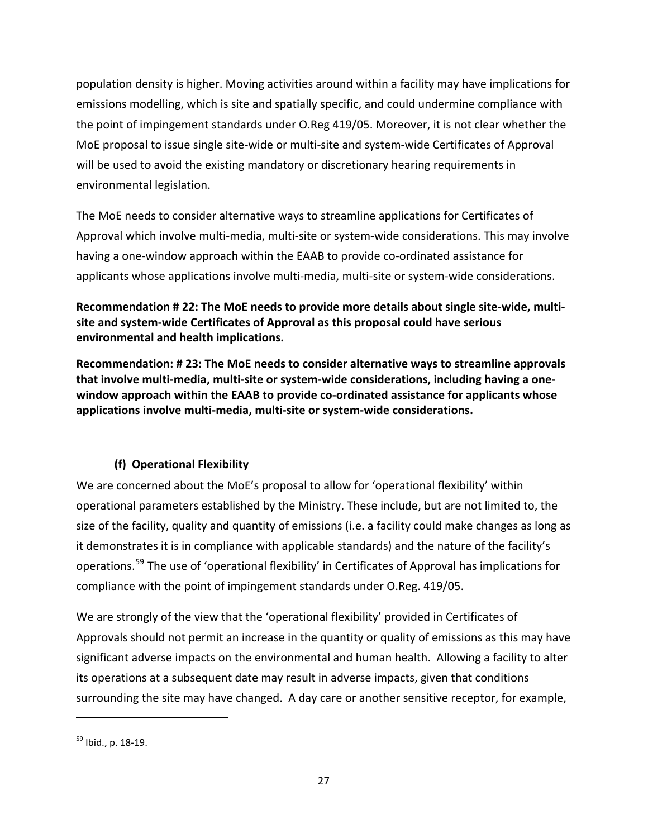<span id="page-26-0"></span>population density is higher. Moving activities around within a facility may have implications for emissions modelling, which is site and spatially specific, and could undermine compliance with the point of impingement standards under O.Reg 419/05. Moreover, it is not clear whether the MoE proposal to issue single site‐wide or multi‐site and system‐wide Certificates of Approval will be used to avoid the existing mandatory or discretionary hearing requirements in environmental legislation.

The MoE needs to consider alternative ways to streamline applications for Certificates of Approval which involve multi‐media, multi‐site or system‐wide considerations. This may involve having a one-window approach within the EAAB to provide co-ordinated assistance for applicants whose applications involve multi‐media, multi‐site or system‐wide considerations.

**Recommendation # 22: The MoE needs to provide more details about single site‐wide, multi‐ site and system‐wide Certificates of Approval as this proposal could have serious environmental and health implications.** 

**Recommendation: # 23: The MoE needs to consider alternative ways to streamline approvals that involve multi‐media, multi‐site or system‐wide considerations, including having a one‐ window approach within the EAAB to provide co‐ordinated assistance for applicants whose applications involve multi‐media, multi‐site or system‐wide considerations.**

# **(f) Operational Flexibility**

We are concerned about the MoE's proposal to allow for 'operational flexibility' within operational parameters established by the Ministry. These include, but are not limited to, the size of the facility, quality and quantity of emissions (i.e. a facility could make changes as long as it demonstrates it is in compliance with applicable standards) and the nature of the facility's operations.[59](#page-26-1) The use of 'operational flexibility' in Certificates of Approval has implications for compliance with the point of impingement standards under O.Reg. 419/05.

We are strongly of the view that the 'operational flexibility' provided in Certificates of Approvals should not permit an increase in the quantity or quality of emissions as this may have significant adverse impacts on the environmental and human health. Allowing a facility to alter its operations at a subsequent date may result in adverse impacts, given that conditions surrounding the site may have changed. A day care or another sensitive receptor, for example,

<span id="page-26-1"></span> $59$  Ibid., p. 18-19.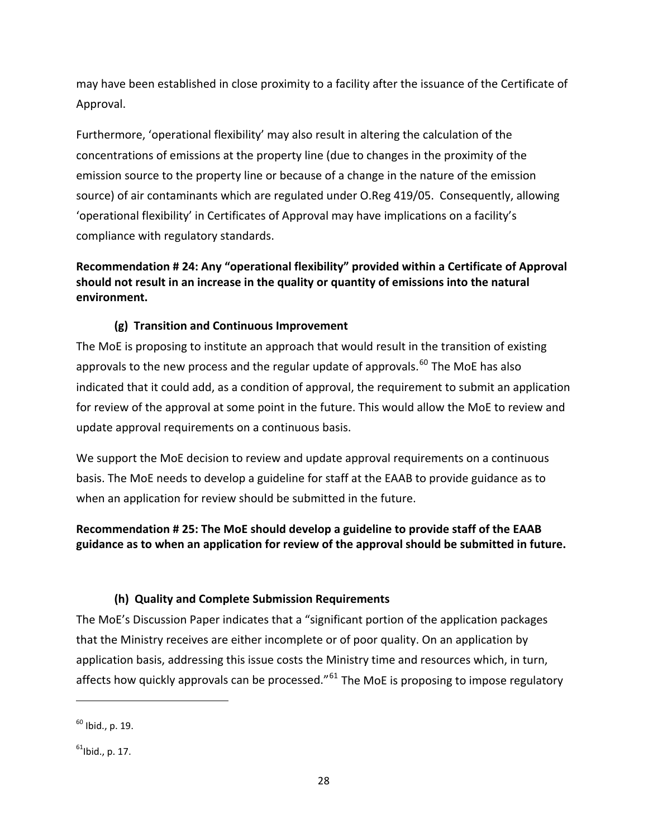<span id="page-27-0"></span>may have been established in close proximity to a facility after the issuance of the Certificate of Approval.

Furthermore, 'operational flexibility' may also result in altering the calculation of the concentrations of emissions at the property line (due to changes in the proximity of the emission source to the property line or because of a change in the nature of the emission source) of air contaminants which are regulated under O.Reg 419/05. Consequently, allowing 'operational flexibility' in Certificates of Approval may have implications on a facility's compliance with regulatory standards.

# **Recommendation # 24: Any "operational flexibility" provided within a Certificate of Approval should not result in an increase in the quality or quantity of emissions into the natural environment.**

# **(g) Transition and Continuous Improvement**

The MoE is proposing to institute an approach that would result in the transition of existing approvals to the new process and the regular update of approvals.<sup>[60](#page-27-1)</sup> The MoE has also indicated that it could add, as a condition of approval, the requirement to submit an application for review of the approval at some point in the future. This would allow the MoE to review and update approval requirements on a continuous basis.

We support the MoE decision to review and update approval requirements on a continuous basis. The MoE needs to develop a guideline for staff at the EAAB to provide guidance as to when an application for review should be submitted in the future.

# **Recommendation # 25: The MoE should develop a guideline to provide staff of the EAAB guidance as to when an application for review of the approval should be submitted in future.**

# **(h) Quality and Complete Submission Requirements**

The MoE's Discussion Paper indicates that a "significant portion of the application packages that the Ministry receives are either incomplete or of poor quality. On an application by application basis, addressing this issue costs the Ministry time and resources which, in turn, affects how quickly approvals can be processed."<sup>[61](#page-27-2)</sup> The MoE is proposing to impose regulatory

<span id="page-27-1"></span> $60$  Ibid., p. 19.

<span id="page-27-2"></span> $61$ Ibid., p. 17.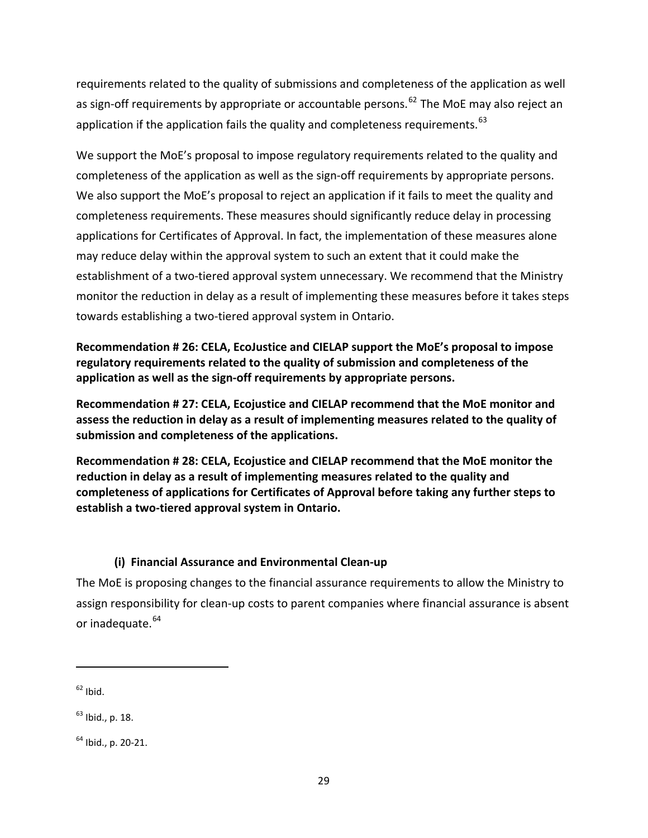<span id="page-28-0"></span>requirements related to the quality of submissions and completeness of the application as well as sign-off requirements by appropriate or accountable persons.<sup>[62](#page-28-1)</sup> The MoE may also reject an application if the application fails the quality and completeness requirements.  $63$ 

We support the MoE's proposal to impose regulatory requirements related to the quality and completeness of the application as well as the sign-off requirements by appropriate persons. We also support the MoE's proposal to reject an application if it fails to meet the quality and completeness requirements. These measures should significantly reduce delay in processing applications for Certificates of Approval. In fact, the implementation of these measures alone may reduce delay within the approval system to such an extent that it could make the establishment of a two-tiered approval system unnecessary. We recommend that the Ministry monitor the reduction in delay as a result of implementing these measures before it takes steps towards establishing a two‐tiered approval system in Ontario.

**Recommendation # 26: CELA, EcoJustice and CIELAP support the MoE's proposal to impose regulatory requirements related to the quality of submission and completeness of the application as well as the sign‐off requirements by appropriate persons.** 

**Recommendation # 27: CELA, Ecojustice and CIELAP recommend that the MoE monitor and assess the reduction in delay as a result of implementing measures related to the quality of submission and completeness of the applications.**

**Recommendation # 28: CELA, Ecojustice and CIELAP recommend that the MoE monitor the reduction in delay as a result of implementing measures related to the quality and completeness of applications for Certificates of Approval before taking any further steps to establish a two‐tiered approval system in Ontario.** 

# **(i) Financial Assurance and Environmental Clean‐up**

The MoE is proposing changes to the financial assurance requirements to allow the Ministry to assign responsibility for clean‐up costs to parent companies where financial assurance is absent or inadequate.<sup>[64](#page-28-3)</sup>

<span id="page-28-1"></span> $62$  Ibid.

<span id="page-28-2"></span> $63$  Ibid., p. 18.

<span id="page-28-3"></span> $64$  Ibid., p. 20-21.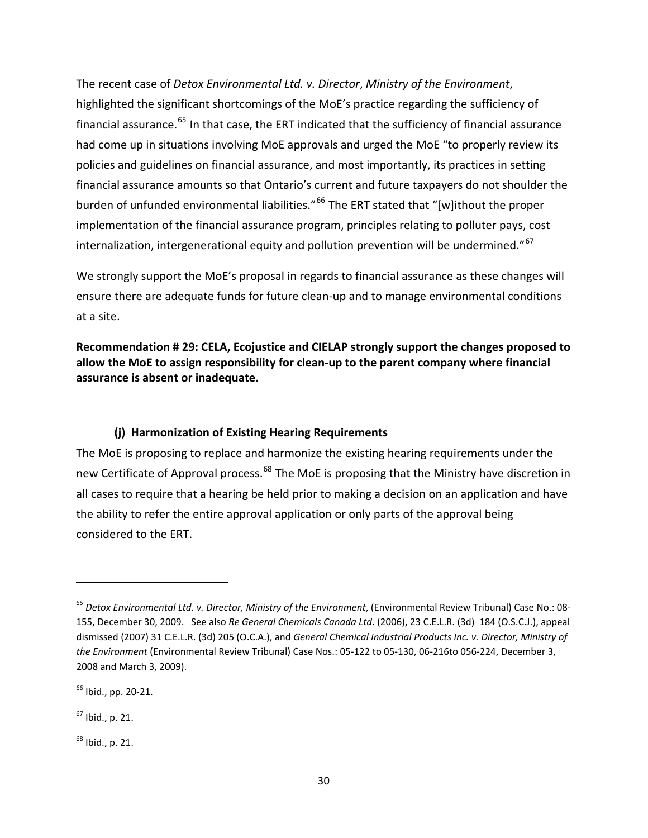<span id="page-29-0"></span>The recent case of *Detox Environmental Ltd. v. Director*, *Ministry of the Environment*, highlighted the significant shortcomings of the MoE's practice regarding the sufficiency of financial assurance.<sup>[65](#page-29-1)</sup> In that case, the ERT indicated that the sufficiency of financial assurance had come up in situations involving MoE approvals and urged the MoE "to properly review its policies and guidelines on financial assurance, and most importantly, its practices in setting financial assurance amounts so that Ontario's current and future taxpayers do not shoulder the burden of unfunded environmental liabilities."<sup>[66](#page-29-2)</sup> The ERT stated that "[w]ithout the proper implementation of the financial assurance program, principles relating to polluter pays, cost internalization, intergenerational equity and pollution prevention will be undermined."<sup>[67](#page-29-3)</sup>

We strongly support the MoE's proposal in regards to financial assurance as these changes will ensure there are adequate funds for future clean‐up and to manage environmental conditions at a site.

**Recommendation # 29: CELA, Ecojustice and CIELAP strongly support the changes proposed to allow the MoE to assign responsibility for clean‐up to the parent company where financial assurance is absent or inadequate.** 

#### **(j) Harmonization of Existing Hearing Requirements**

The MoE is proposing to replace and harmonize the existing hearing requirements under the new Certificate of Approval process.<sup>[68](#page-29-4)</sup> The MoE is proposing that the Ministry have discretion in all cases to require that a hearing be held prior to making a decision on an application and have the ability to refer the entire approval application or only parts of the approval being considered to the ERT.

<span id="page-29-3"></span> $67$  Ibid., p. 21.

<span id="page-29-4"></span> $68$  Ibid., p. 21.

<span id="page-29-1"></span><sup>65</sup> *Detox Environmental Ltd. v. Director, Ministry of the Environment*, (Environmental Review Tribunal) Case No.: 08‐ 155, December 30, 2009. See also *Re General Chemicals Canada Ltd*. (2006), 23 C.E.L.R. (3d) 184 (O.S.C.J.), appeal dismissed (2007) 31 C.E.L.R. (3d) 205 (O.C.A.), and *General Chemical Industrial Products Inc. v. Director, Ministry of the Environment* (Environmental Review Tribunal) Case Nos.: 05‐122 to 05‐130, 06‐216to 056‐224, December 3, 2008 and March 3, 2009).

<span id="page-29-2"></span> $66$  Ibid., pp. 20-21.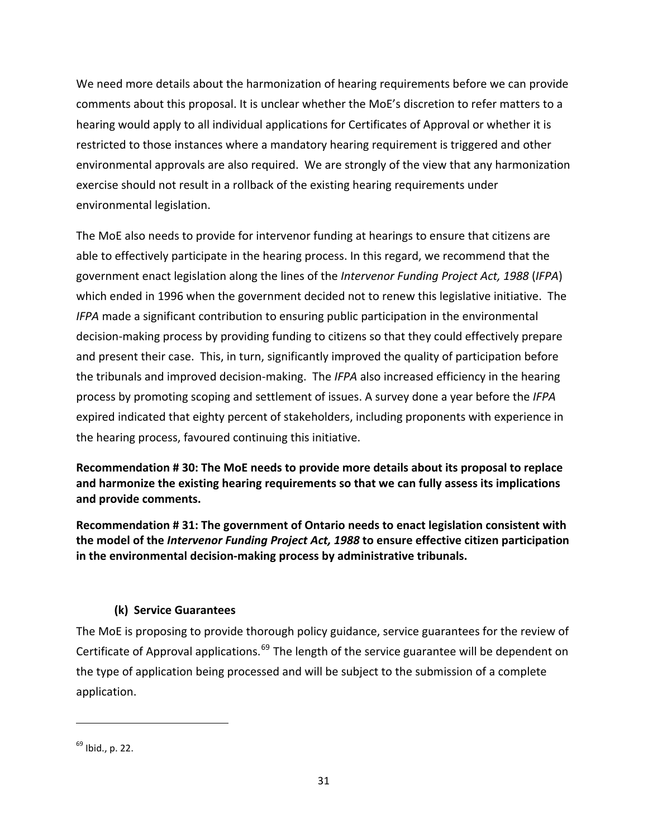<span id="page-30-0"></span>We need more details about the harmonization of hearing requirements before we can provide comments about this proposal. It is unclear whether the MoE's discretion to refer matters to a hearing would apply to all individual applications for Certificates of Approval or whether it is restricted to those instances where a mandatory hearing requirement is triggered and other environmental approvals are also required. We are strongly of the view that any harmonization exercise should not result in a rollback of the existing hearing requirements under environmental legislation.

The MoE also needs to provide for intervenor funding at hearings to ensure that citizens are able to effectively participate in the hearing process. In this regard, we recommend that the government enact legislation along the lines of the *Intervenor Funding Project Act, 1988* (*IFPA*) which ended in 1996 when the government decided not to renew this legislative initiative. The *IFPA* made a significant contribution to ensuring public participation in the environmental decision‐making process by providing funding to citizens so that they could effectively prepare and present their case. This, in turn, significantly improved the quality of participation before the tribunals and improved decision‐making. The *IFPA* also increased efficiency in the hearing process by promoting scoping and settlement of issues. A survey done a year before the *IFPA* expired indicated that eighty percent of stakeholders, including proponents with experience in the hearing process, favoured continuing this initiative.

**Recommendation # 30: The MoE needs to provide more details about its proposal to replace and harmonize the existing hearing requirements so that we can fully assess its implications and provide comments.** 

**Recommendation # 31: The government of Ontario needs to enact legislation consistent with the model of the** *Intervenor Funding Project Act, 1988* **to ensure effective citizen participation in the environmental decision‐making process by administrative tribunals.** 

# **(k) Service Guarantees**

The MoE is proposing to provide thorough policy guidance, service guarantees for the review of Certificate of Approval applications.<sup>[69](#page-30-1)</sup> The length of the service guarantee will be dependent on the type of application being processed and will be subject to the submission of a complete application.

<span id="page-30-1"></span> $69$  Ibid., p. 22.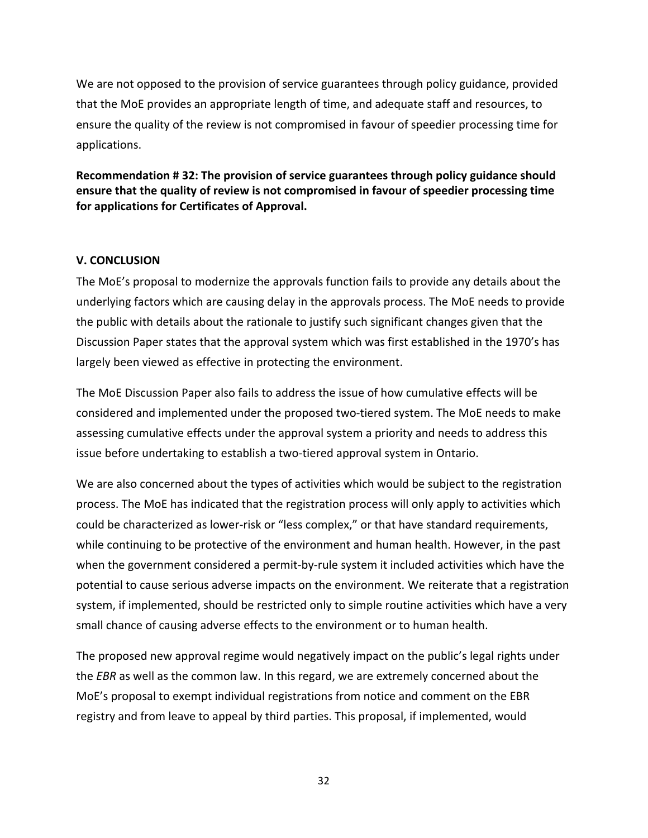<span id="page-31-0"></span>We are not opposed to the provision of service guarantees through policy guidance, provided that the MoE provides an appropriate length of time, and adequate staff and resources, to ensure the quality of the review is not compromised in favour of speedier processing time for applications.

**Recommendation # 32: The provision of service guarantees through policy guidance should ensure that the quality of review is not compromised in favour of speedier processing time for applications for Certificates of Approval.**

#### **V. CONCLUSION**

The MoE's proposal to modernize the approvals function fails to provide any details about the underlying factors which are causing delay in the approvals process. The MoE needs to provide the public with details about the rationale to justify such significant changes given that the Discussion Paper states that the approval system which was first established in the 1970's has largely been viewed as effective in protecting the environment.

The MoE Discussion Paper also fails to address the issue of how cumulative effects will be considered and implemented under the proposed two‐tiered system. The MoE needs to make assessing cumulative effects under the approval system a priority and needs to address this issue before undertaking to establish a two-tiered approval system in Ontario.

We are also concerned about the types of activities which would be subject to the registration process. The MoE has indicated that the registration process will only apply to activities which could be characterized as lower‐risk or "less complex," or that have standard requirements, while continuing to be protective of the environment and human health. However, in the past when the government considered a permit-by-rule system it included activities which have the potential to cause serious adverse impacts on the environment. We reiterate that a registration system, if implemented, should be restricted only to simple routine activities which have a very small chance of causing adverse effects to the environment or to human health.

The proposed new approval regime would negatively impact on the public's legal rights under the *EBR* as well as the common law. In this regard, we are extremely concerned about the MoE's proposal to exempt individual registrations from notice and comment on the EBR registry and from leave to appeal by third parties. This proposal, if implemented, would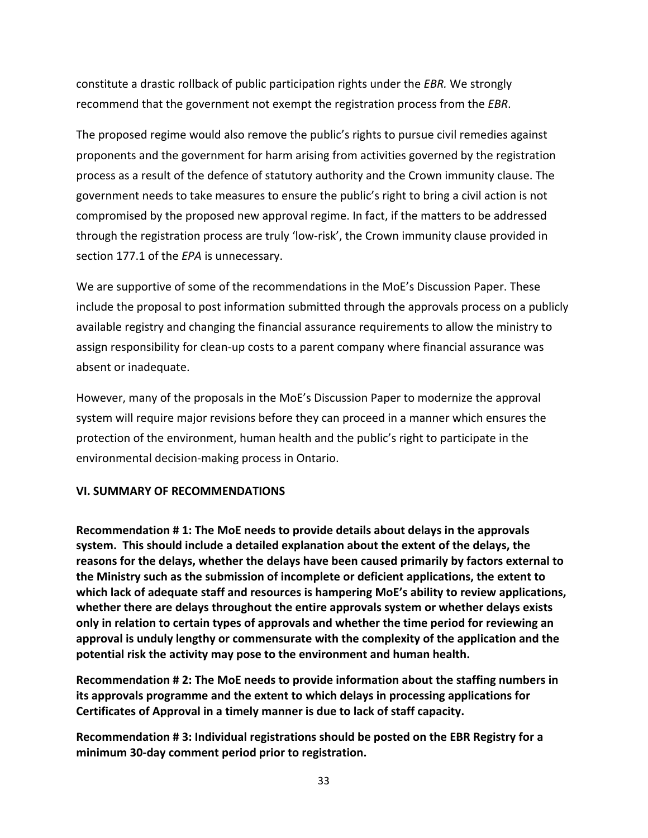<span id="page-32-0"></span>constitute a drastic rollback of public participation rights under the *EBR.* We strongly recommend that the government not exempt the registration process from the *EBR*.

The proposed regime would also remove the public's rights to pursue civil remedies against proponents and the government for harm arising from activities governed by the registration process as a result of the defence of statutory authority and the Crown immunity clause. The government needs to take measures to ensure the public's right to bring a civil action is not compromised by the proposed new approval regime. In fact, if the matters to be addressed through the registration process are truly 'low‐risk', the Crown immunity clause provided in section 177.1 of the *EPA* is unnecessary.

We are supportive of some of the recommendations in the MoE's Discussion Paper. These include the proposal to post information submitted through the approvals process on a publicly available registry and changing the financial assurance requirements to allow the ministry to assign responsibility for clean-up costs to a parent company where financial assurance was absent or inadequate.

However, many of the proposals in the MoE's Discussion Paper to modernize the approval system will require major revisions before they can proceed in a manner which ensures the protection of the environment, human health and the public's right to participate in the environmental decision‐making process in Ontario.

#### **VI. SUMMARY OF RECOMMENDATIONS**

**Recommendation # 1: The MoE needs to provide details about delays in the approvals system. This should include a detailed explanation about the extent of the delays, the reasons for the delays, whether the delays have been caused primarily by factors external to the Ministry such as the submission of incomplete or deficient applications, the extent to which lack of adequate staff and resources is hampering MoE's ability to review applications, whether there are delays throughout the entire approvals system or whether delays exists only in relation to certain types of approvals and whether the time period for reviewing an approval is unduly lengthy or commensurate with the complexity of the application and the potential risk the activity may pose to the environment and human health.**

**Recommendation # 2: The MoE needs to provide information about the staffing numbers in its approvals programme and the extent to which delays in processing applications for Certificates of Approval in a timely manner is due to lack of staff capacity.** 

**Recommendation # 3: Individual registrations should be posted on the EBR Registry for a minimum 30‐day comment period prior to registration.**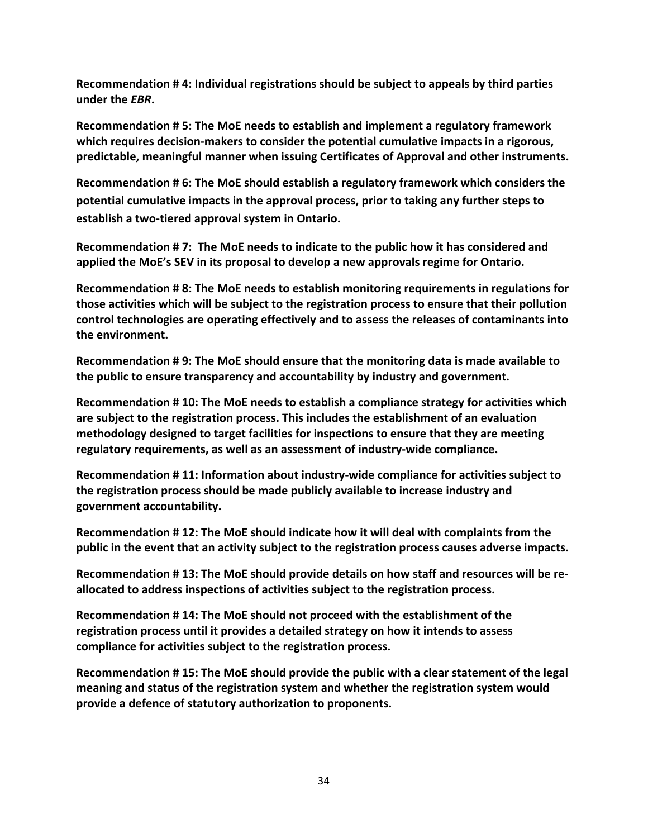**Recommendation # 4: Individual registrations should be subject to appeals by third parties under the** *EBR***.**

**Recommendation # 5: The MoE needs to establish and implement a regulatory framework which requires decision‐makers to consider the potential cumulative impacts in a rigorous, predictable, meaningful manner when issuing Certificates of Approval and other instruments.**

**Recommendation # 6: The MoE should establish a regulatory framework which considers the potential cumulative impacts in the approval process, prior to taking any further steps to establish a two‐tiered approval system in Ontario.**

**Recommendation # 7: The MoE needs to indicate to the public how it has considered and applied the MoE's SEV in its proposal to develop a new approvals regime for Ontario.** 

**Recommendation # 8: The MoE needs to establish monitoring requirements in regulations for those activities which will be subject to the registration process to ensure that their pollution control technologies are operating effectively and to assess the releases of contaminants into the environment.** 

**Recommendation # 9: The MoE should ensure that the monitoring data is made available to the public to ensure transparency and accountability by industry and government.**

**Recommendation # 10: The MoE needs to establish a compliance strategy for activities which are subject to the registration process. This includes the establishment of an evaluation methodology designed to target facilities for inspections to ensure that they are meeting regulatory requirements, as well as an assessment of industry‐wide compliance.**

**Recommendation # 11: Information about industry‐wide compliance for activities subject to the registration process should be made publicly available to increase industry and government accountability.**

**Recommendation # 12: The MoE should indicate how it will deal with complaints from the public in the event that an activity subject to the registration process causes adverse impacts.**

**Recommendation # 13: The MoE should provide details on how staff and resources will be re‐ allocated to address inspections of activities subject to the registration process.** 

**Recommendation # 14: The MoE should not proceed with the establishment of the registration process until it provides a detailed strategy on how it intends to assess compliance for activities subject to the registration process.** 

**Recommendation # 15: The MoE should provide the public with a clear statement of the legal meaning and status of the registration system and whether the registration system would provide a defence of statutory authorization to proponents.**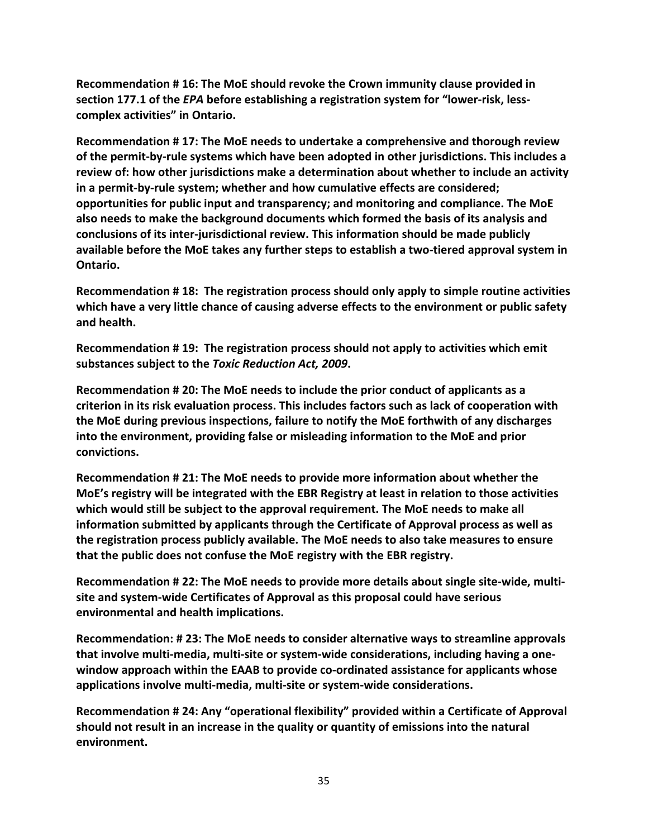**Recommendation # 16: The MoE should revoke the Crown immunity clause provided in section 177.1 of the** *EPA* **before establishing a registration system for "lower‐risk, less‐ complex activities" in Ontario.** 

**Recommendation # 17: The MoE needs to undertake a comprehensive and thorough review of the permit‐by‐rule systems which have been adopted in other jurisdictions. This includes a review of: how other jurisdictions make a determination about whether to include an activity in a permit‐by‐rule system; whether and how cumulative effects are considered; opportunities for public input and transparency; and monitoring and compliance. The MoE also needs to make the background documents which formed the basis of its analysis and conclusions of its inter‐jurisdictional review. This information should be made publicly available before the MoE takes any further steps to establish a two‐tiered approval system in Ontario.**

**Recommendation # 18: The registration process should only apply to simple routine activities which have a very little chance of causing adverse effects to the environment or public safety and health.**

**Recommendation # 19: The registration process should not apply to activities which emit substances subject to the** *Toxic Reduction Act, 2009***.** 

**Recommendation # 20: The MoE needs to include the prior conduct of applicants as a criterion in its risk evaluation process. This includes factors such as lack of cooperation with the MoE during previous inspections, failure to notify the MoE forthwith of any discharges into the environment, providing false or misleading information to the MoE and prior convictions.** 

**Recommendation # 21: The MoE needs to provide more information about whether the MoE's registry will be integrated with the EBR Registry at least in relation to those activities which would still be subject to the approval requirement. The MoE needs to make all information submitted by applicants through the Certificate of Approval process as well as the registration process publicly available. The MoE needs to also take measures to ensure that the public does not confuse the MoE registry with the EBR registry.**

**Recommendation # 22: The MoE needs to provide more details about single site‐wide, multi‐ site and system‐wide Certificates of Approval as this proposal could have serious environmental and health implications.** 

**Recommendation: # 23: The MoE needs to consider alternative ways to streamline approvals that involve multi‐media, multi‐site or system‐wide considerations, including having a one‐ window approach within the EAAB to provide co‐ordinated assistance for applicants whose applications involve multi‐media, multi‐site or system‐wide considerations.**

**Recommendation # 24: Any "operational flexibility" provided within a Certificate of Approval should not result in an increase in the quality or quantity of emissions into the natural environment.**